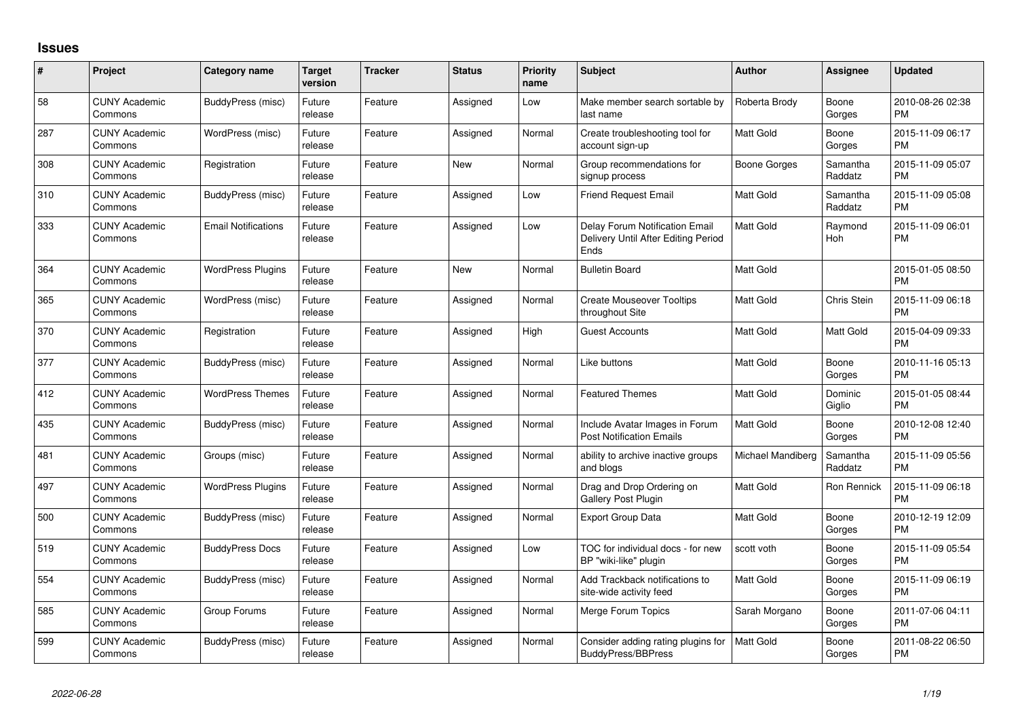## **Issues**

| #   | Project                         | Category name              | <b>Target</b><br>version | <b>Tracker</b> | <b>Status</b> | Priority<br>name | <b>Subject</b>                                                                       | <b>Author</b>     | <b>Assignee</b>     | <b>Updated</b>                |
|-----|---------------------------------|----------------------------|--------------------------|----------------|---------------|------------------|--------------------------------------------------------------------------------------|-------------------|---------------------|-------------------------------|
| 58  | <b>CUNY Academic</b><br>Commons | BuddyPress (misc)          | Future<br>release        | Feature        | Assigned      | Low              | Make member search sortable by<br>last name                                          | Roberta Brody     | Boone<br>Gorges     | 2010-08-26 02:38<br><b>PM</b> |
| 287 | <b>CUNY Academic</b><br>Commons | WordPress (misc)           | Future<br>release        | Feature        | Assigned      | Normal           | Create troubleshooting tool for<br>account sign-up                                   | <b>Matt Gold</b>  | Boone<br>Gorges     | 2015-11-09 06:17<br><b>PM</b> |
| 308 | <b>CUNY Academic</b><br>Commons | Registration               | Future<br>release        | Feature        | <b>New</b>    | Normal           | Group recommendations for<br>signup process                                          | Boone Gorges      | Samantha<br>Raddatz | 2015-11-09 05:07<br><b>PM</b> |
| 310 | <b>CUNY Academic</b><br>Commons | BuddyPress (misc)          | Future<br>release        | Feature        | Assigned      | Low              | <b>Friend Request Email</b>                                                          | <b>Matt Gold</b>  | Samantha<br>Raddatz | 2015-11-09 05:08<br><b>PM</b> |
| 333 | <b>CUNY Academic</b><br>Commons | <b>Email Notifications</b> | Future<br>release        | Feature        | Assigned      | Low              | Delay Forum Notification Email<br>Delivery Until After Editing Period<br><b>Ends</b> | <b>Matt Gold</b>  | Raymond<br>Hoh      | 2015-11-09 06:01<br><b>PM</b> |
| 364 | <b>CUNY Academic</b><br>Commons | <b>WordPress Plugins</b>   | Future<br>release        | Feature        | <b>New</b>    | Normal           | <b>Bulletin Board</b>                                                                | <b>Matt Gold</b>  |                     | 2015-01-05 08:50<br><b>PM</b> |
| 365 | <b>CUNY Academic</b><br>Commons | WordPress (misc)           | Future<br>release        | Feature        | Assigned      | Normal           | <b>Create Mouseover Tooltips</b><br>throughout Site                                  | <b>Matt Gold</b>  | Chris Stein         | 2015-11-09 06:18<br><b>PM</b> |
| 370 | <b>CUNY Academic</b><br>Commons | Registration               | Future<br>release        | Feature        | Assigned      | High             | <b>Guest Accounts</b>                                                                | Matt Gold         | Matt Gold           | 2015-04-09 09:33<br><b>PM</b> |
| 377 | <b>CUNY Academic</b><br>Commons | BuddyPress (misc)          | Future<br>release        | Feature        | Assigned      | Normal           | Like buttons                                                                         | Matt Gold         | Boone<br>Gorges     | 2010-11-16 05:13<br><b>PM</b> |
| 412 | <b>CUNY Academic</b><br>Commons | <b>WordPress Themes</b>    | Future<br>release        | Feature        | Assigned      | Normal           | <b>Featured Themes</b>                                                               | <b>Matt Gold</b>  | Dominic<br>Giglio   | 2015-01-05 08:44<br><b>PM</b> |
| 435 | <b>CUNY Academic</b><br>Commons | BuddyPress (misc)          | Future<br>release        | Feature        | Assigned      | Normal           | Include Avatar Images in Forum<br><b>Post Notification Emails</b>                    | <b>Matt Gold</b>  | Boone<br>Gorges     | 2010-12-08 12:40<br><b>PM</b> |
| 481 | <b>CUNY Academic</b><br>Commons | Groups (misc)              | Future<br>release        | Feature        | Assigned      | Normal           | ability to archive inactive groups<br>and blogs                                      | Michael Mandiberg | Samantha<br>Raddatz | 2015-11-09 05:56<br><b>PM</b> |
| 497 | <b>CUNY Academic</b><br>Commons | <b>WordPress Plugins</b>   | Future<br>release        | Feature        | Assigned      | Normal           | Drag and Drop Ordering on<br><b>Gallery Post Plugin</b>                              | <b>Matt Gold</b>  | Ron Rennick         | 2015-11-09 06:18<br><b>PM</b> |
| 500 | <b>CUNY Academic</b><br>Commons | BuddyPress (misc)          | Future<br>release        | Feature        | Assigned      | Normal           | <b>Export Group Data</b>                                                             | <b>Matt Gold</b>  | Boone<br>Gorges     | 2010-12-19 12:09<br><b>PM</b> |
| 519 | <b>CUNY Academic</b><br>Commons | <b>BuddyPress Docs</b>     | Future<br>release        | Feature        | Assigned      | Low              | TOC for individual docs - for new<br>BP "wiki-like" plugin                           | scott voth        | Boone<br>Gorges     | 2015-11-09 05:54<br><b>PM</b> |
| 554 | <b>CUNY Academic</b><br>Commons | BuddyPress (misc)          | Future<br>release        | Feature        | Assigned      | Normal           | Add Trackback notifications to<br>site-wide activity feed                            | <b>Matt Gold</b>  | Boone<br>Gorges     | 2015-11-09 06:19<br><b>PM</b> |
| 585 | <b>CUNY Academic</b><br>Commons | Group Forums               | Future<br>release        | Feature        | Assigned      | Normal           | Merge Forum Topics                                                                   | Sarah Morgano     | Boone<br>Gorges     | 2011-07-06 04:11<br><b>PM</b> |
| 599 | <b>CUNY Academic</b><br>Commons | BuddyPress (misc)          | Future<br>release        | Feature        | Assigned      | Normal           | Consider adding rating plugins for<br><b>BuddyPress/BBPress</b>                      | <b>Matt Gold</b>  | Boone<br>Gorges     | 2011-08-22 06:50<br>PM        |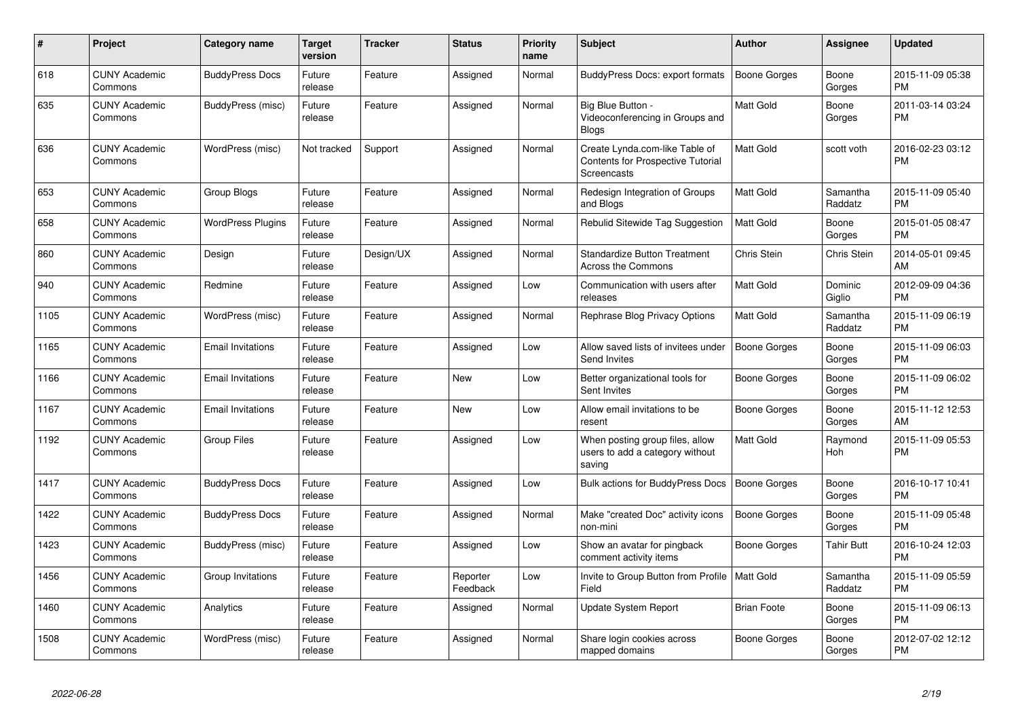| #    | Project                         | Category name            | <b>Target</b><br>version | <b>Tracker</b> | <b>Status</b>        | <b>Priority</b><br>name | <b>Subject</b>                                                                            | <b>Author</b>       | Assignee            | <b>Updated</b>                |
|------|---------------------------------|--------------------------|--------------------------|----------------|----------------------|-------------------------|-------------------------------------------------------------------------------------------|---------------------|---------------------|-------------------------------|
| 618  | <b>CUNY Academic</b><br>Commons | <b>BuddyPress Docs</b>   | Future<br>release        | Feature        | Assigned             | Normal                  | BuddyPress Docs: export formats                                                           | <b>Boone Gorges</b> | Boone<br>Gorges     | 2015-11-09 05:38<br><b>PM</b> |
| 635  | <b>CUNY Academic</b><br>Commons | BuddyPress (misc)        | Future<br>release        | Feature        | Assigned             | Normal                  | Big Blue Button -<br>Videoconferencing in Groups and<br><b>Blogs</b>                      | <b>Matt Gold</b>    | Boone<br>Gorges     | 2011-03-14 03:24<br><b>PM</b> |
| 636  | <b>CUNY Academic</b><br>Commons | WordPress (misc)         | Not tracked              | Support        | Assigned             | Normal                  | Create Lynda.com-like Table of<br><b>Contents for Prospective Tutorial</b><br>Screencasts | <b>Matt Gold</b>    | scott voth          | 2016-02-23 03:12<br><b>PM</b> |
| 653  | <b>CUNY Academic</b><br>Commons | Group Blogs              | Future<br>release        | Feature        | Assigned             | Normal                  | Redesign Integration of Groups<br>and Blogs                                               | Matt Gold           | Samantha<br>Raddatz | 2015-11-09 05:40<br><b>PM</b> |
| 658  | <b>CUNY Academic</b><br>Commons | <b>WordPress Plugins</b> | Future<br>release        | Feature        | Assigned             | Normal                  | Rebulid Sitewide Tag Suggestion                                                           | Matt Gold           | Boone<br>Gorges     | 2015-01-05 08:47<br><b>PM</b> |
| 860  | <b>CUNY Academic</b><br>Commons | Design                   | Future<br>release        | Design/UX      | Assigned             | Normal                  | <b>Standardize Button Treatment</b><br>Across the Commons                                 | <b>Chris Stein</b>  | Chris Stein         | 2014-05-01 09:45<br>AM        |
| 940  | <b>CUNY Academic</b><br>Commons | Redmine                  | Future<br>release        | Feature        | Assigned             | Low                     | Communication with users after<br>releases                                                | Matt Gold           | Dominic<br>Giglio   | 2012-09-09 04:36<br><b>PM</b> |
| 1105 | <b>CUNY Academic</b><br>Commons | WordPress (misc)         | Future<br>release        | Feature        | Assigned             | Normal                  | Rephrase Blog Privacy Options                                                             | Matt Gold           | Samantha<br>Raddatz | 2015-11-09 06:19<br><b>PM</b> |
| 1165 | <b>CUNY Academic</b><br>Commons | <b>Email Invitations</b> | Future<br>release        | Feature        | Assigned             | Low                     | Allow saved lists of invitees under<br>Send Invites                                       | Boone Gorges        | Boone<br>Gorges     | 2015-11-09 06:03<br><b>PM</b> |
| 1166 | <b>CUNY Academic</b><br>Commons | <b>Email Invitations</b> | Future<br>release        | Feature        | New                  | Low                     | Better organizational tools for<br>Sent Invites                                           | Boone Gorges        | Boone<br>Gorges     | 2015-11-09 06:02<br><b>PM</b> |
| 1167 | <b>CUNY Academic</b><br>Commons | <b>Email Invitations</b> | Future<br>release        | Feature        | <b>New</b>           | Low                     | Allow email invitations to be<br>resent                                                   | Boone Gorges        | Boone<br>Gorges     | 2015-11-12 12:53<br>AM        |
| 1192 | <b>CUNY Academic</b><br>Commons | <b>Group Files</b>       | Future<br>release        | Feature        | Assigned             | Low                     | When posting group files, allow<br>users to add a category without<br>saving              | Matt Gold           | Raymond<br>Hoh      | 2015-11-09 05:53<br><b>PM</b> |
| 1417 | <b>CUNY Academic</b><br>Commons | <b>BuddyPress Docs</b>   | Future<br>release        | Feature        | Assigned             | Low                     | Bulk actions for BuddyPress Docs                                                          | Boone Gorges        | Boone<br>Gorges     | 2016-10-17 10:41<br><b>PM</b> |
| 1422 | <b>CUNY Academic</b><br>Commons | <b>BuddyPress Docs</b>   | Future<br>release        | Feature        | Assigned             | Normal                  | Make "created Doc" activity icons<br>non-mini                                             | <b>Boone Gorges</b> | Boone<br>Gorges     | 2015-11-09 05:48<br><b>PM</b> |
| 1423 | <b>CUNY Academic</b><br>Commons | BuddyPress (misc)        | Future<br>release        | Feature        | Assigned             | Low                     | Show an avatar for pingback<br>comment activity items                                     | Boone Gorges        | Tahir Butt          | 2016-10-24 12:03<br><b>PM</b> |
| 1456 | <b>CUNY Academic</b><br>Commons | Group Invitations        | Future<br>release        | Feature        | Reporter<br>Feedback | Low                     | Invite to Group Button from Profile  <br>Field                                            | <b>Matt Gold</b>    | Samantha<br>Raddatz | 2015-11-09 05:59<br><b>PM</b> |
| 1460 | <b>CUNY Academic</b><br>Commons | Analytics                | Future<br>release        | Feature        | Assigned             | Normal                  | Update System Report                                                                      | <b>Brian Foote</b>  | Boone<br>Gorges     | 2015-11-09 06:13<br><b>PM</b> |
| 1508 | <b>CUNY Academic</b><br>Commons | WordPress (misc)         | Future<br>release        | Feature        | Assigned             | Normal                  | Share login cookies across<br>mapped domains                                              | Boone Gorges        | Boone<br>Gorges     | 2012-07-02 12:12<br>PM        |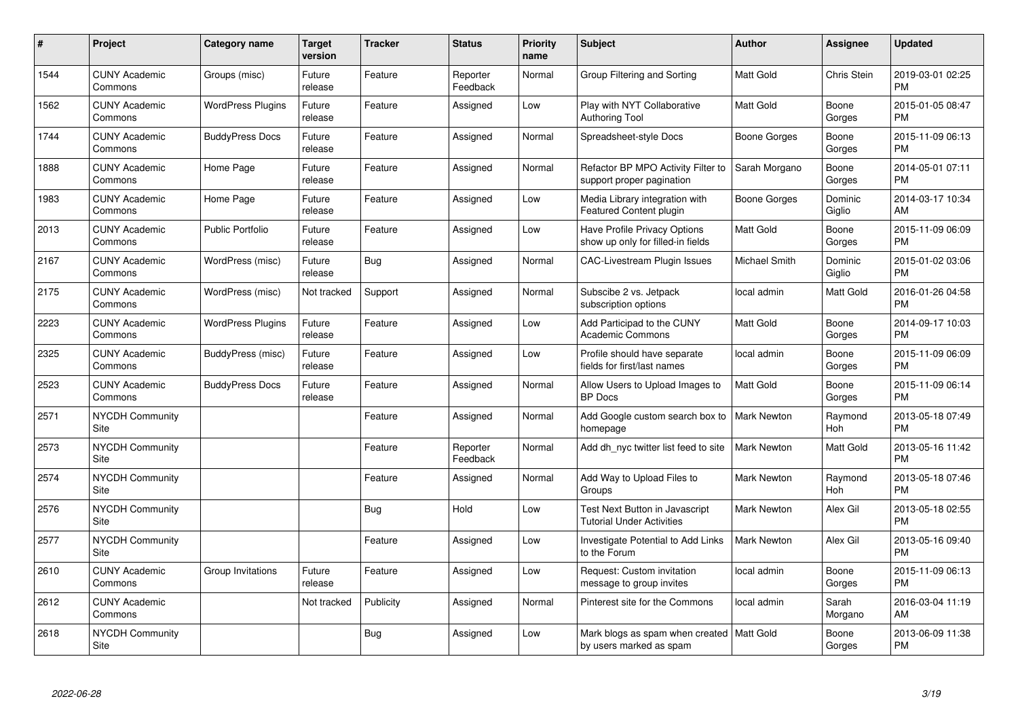| #    | Project                         | <b>Category name</b>     | Target<br>version | <b>Tracker</b> | <b>Status</b>        | <b>Priority</b><br>name | <b>Subject</b>                                                            | <b>Author</b>      | <b>Assignee</b>   | <b>Updated</b>                |
|------|---------------------------------|--------------------------|-------------------|----------------|----------------------|-------------------------|---------------------------------------------------------------------------|--------------------|-------------------|-------------------------------|
| 1544 | <b>CUNY Academic</b><br>Commons | Groups (misc)            | Future<br>release | Feature        | Reporter<br>Feedback | Normal                  | Group Filtering and Sorting                                               | <b>Matt Gold</b>   | Chris Stein       | 2019-03-01 02:25<br><b>PM</b> |
| 1562 | <b>CUNY Academic</b><br>Commons | <b>WordPress Plugins</b> | Future<br>release | Feature        | Assigned             | Low                     | Play with NYT Collaborative<br><b>Authoring Tool</b>                      | Matt Gold          | Boone<br>Gorges   | 2015-01-05 08:47<br><b>PM</b> |
| 1744 | <b>CUNY Academic</b><br>Commons | <b>BuddyPress Docs</b>   | Future<br>release | Feature        | Assigned             | Normal                  | Spreadsheet-style Docs                                                    | Boone Gorges       | Boone<br>Gorges   | 2015-11-09 06:13<br><b>PM</b> |
| 1888 | <b>CUNY Academic</b><br>Commons | Home Page                | Future<br>release | Feature        | Assigned             | Normal                  | Refactor BP MPO Activity Filter to<br>support proper pagination           | Sarah Morgano      | Boone<br>Gorges   | 2014-05-01 07:11<br><b>PM</b> |
| 1983 | <b>CUNY Academic</b><br>Commons | Home Page                | Future<br>release | Feature        | Assigned             | Low                     | Media Library integration with<br><b>Featured Content plugin</b>          | Boone Gorges       | Dominic<br>Giglio | 2014-03-17 10:34<br>AM        |
| 2013 | <b>CUNY Academic</b><br>Commons | <b>Public Portfolio</b>  | Future<br>release | Feature        | Assigned             | Low                     | Have Profile Privacy Options<br>show up only for filled-in fields         | Matt Gold          | Boone<br>Gorges   | 2015-11-09 06:09<br><b>PM</b> |
| 2167 | <b>CUNY Academic</b><br>Commons | WordPress (misc)         | Future<br>release | <b>Bug</b>     | Assigned             | Normal                  | <b>CAC-Livestream Plugin Issues</b>                                       | Michael Smith      | Dominic<br>Giglio | 2015-01-02 03:06<br><b>PM</b> |
| 2175 | <b>CUNY Academic</b><br>Commons | WordPress (misc)         | Not tracked       | Support        | Assigned             | Normal                  | Subscibe 2 vs. Jetpack<br>subscription options                            | local admin        | <b>Matt Gold</b>  | 2016-01-26 04:58<br><b>PM</b> |
| 2223 | <b>CUNY Academic</b><br>Commons | <b>WordPress Plugins</b> | Future<br>release | Feature        | Assigned             | Low                     | Add Participad to the CUNY<br><b>Academic Commons</b>                     | Matt Gold          | Boone<br>Gorges   | 2014-09-17 10:03<br><b>PM</b> |
| 2325 | <b>CUNY Academic</b><br>Commons | BuddyPress (misc)        | Future<br>release | Feature        | Assigned             | Low                     | Profile should have separate<br>fields for first/last names               | local admin        | Boone<br>Gorges   | 2015-11-09 06:09<br><b>PM</b> |
| 2523 | <b>CUNY Academic</b><br>Commons | <b>BuddyPress Docs</b>   | Future<br>release | Feature        | Assigned             | Normal                  | Allow Users to Upload Images to<br><b>BP</b> Docs                         | <b>Matt Gold</b>   | Boone<br>Gorges   | 2015-11-09 06:14<br><b>PM</b> |
| 2571 | <b>NYCDH Community</b><br>Site  |                          |                   | Feature        | Assigned             | Normal                  | Add Google custom search box to<br>homepage                               | <b>Mark Newton</b> | Raymond<br>Hoh    | 2013-05-18 07:49<br><b>PM</b> |
| 2573 | <b>NYCDH Community</b><br>Site  |                          |                   | Feature        | Reporter<br>Feedback | Normal                  | Add dh nyc twitter list feed to site                                      | <b>Mark Newton</b> | <b>Matt Gold</b>  | 2013-05-16 11:42<br><b>PM</b> |
| 2574 | <b>NYCDH Community</b><br>Site  |                          |                   | Feature        | Assigned             | Normal                  | Add Way to Upload Files to<br>Groups                                      | <b>Mark Newton</b> | Raymond<br>Hoh    | 2013-05-18 07:46<br><b>PM</b> |
| 2576 | <b>NYCDH Community</b><br>Site  |                          |                   | <b>Bug</b>     | Hold                 | Low                     | <b>Test Next Button in Javascript</b><br><b>Tutorial Under Activities</b> | <b>Mark Newton</b> | Alex Gil          | 2013-05-18 02:55<br><b>PM</b> |
| 2577 | NYCDH Community<br>Site         |                          |                   | Feature        | Assigned             | Low                     | Investigate Potential to Add Links<br>to the Forum                        | <b>Mark Newton</b> | Alex Gil          | 2013-05-16 09:40<br><b>PM</b> |
| 2610 | <b>CUNY Academic</b><br>Commons | Group Invitations        | Future<br>release | Feature        | Assigned             | Low                     | Request: Custom invitation<br>message to group invites                    | local admin        | Boone<br>Gorges   | 2015-11-09 06:13<br><b>PM</b> |
| 2612 | <b>CUNY Academic</b><br>Commons |                          | Not tracked       | Publicity      | Assigned             | Normal                  | Pinterest site for the Commons                                            | local admin        | Sarah<br>Morgano  | 2016-03-04 11:19<br>AM        |
| 2618 | <b>NYCDH Community</b><br>Site  |                          |                   | <b>Bug</b>     | Assigned             | Low                     | Mark blogs as spam when created   Matt Gold<br>by users marked as spam    |                    | Boone<br>Gorges   | 2013-06-09 11:38<br><b>PM</b> |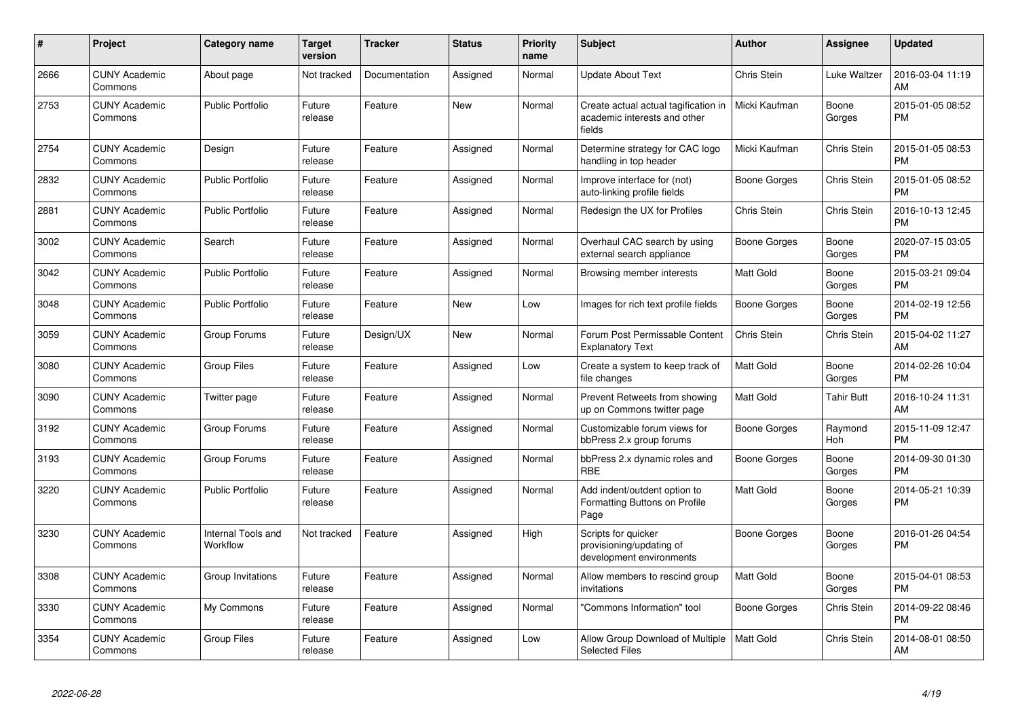| #    | <b>Project</b>                  | Category name                  | <b>Target</b><br>version | <b>Tracker</b> | <b>Status</b> | <b>Priority</b><br>name | <b>Subject</b>                                                                 | <b>Author</b>       | Assignee          | <b>Updated</b>                |
|------|---------------------------------|--------------------------------|--------------------------|----------------|---------------|-------------------------|--------------------------------------------------------------------------------|---------------------|-------------------|-------------------------------|
| 2666 | <b>CUNY Academic</b><br>Commons | About page                     | Not tracked              | Documentation  | Assigned      | Normal                  | Update About Text                                                              | Chris Stein         | Luke Waltzer      | 2016-03-04 11:19<br>AM        |
| 2753 | <b>CUNY Academic</b><br>Commons | <b>Public Portfolio</b>        | Future<br>release        | Feature        | <b>New</b>    | Normal                  | Create actual actual tagification in<br>academic interests and other<br>fields | Micki Kaufman       | Boone<br>Gorges   | 2015-01-05 08:52<br><b>PM</b> |
| 2754 | <b>CUNY Academic</b><br>Commons | Design                         | Future<br>release        | Feature        | Assigned      | Normal                  | Determine strategy for CAC logo<br>handling in top header                      | Micki Kaufman       | Chris Stein       | 2015-01-05 08:53<br><b>PM</b> |
| 2832 | <b>CUNY Academic</b><br>Commons | <b>Public Portfolio</b>        | Future<br>release        | Feature        | Assigned      | Normal                  | Improve interface for (not)<br>auto-linking profile fields                     | Boone Gorges        | Chris Stein       | 2015-01-05 08:52<br><b>PM</b> |
| 2881 | <b>CUNY Academic</b><br>Commons | <b>Public Portfolio</b>        | Future<br>release        | Feature        | Assigned      | Normal                  | Redesign the UX for Profiles                                                   | <b>Chris Stein</b>  | Chris Stein       | 2016-10-13 12:45<br><b>PM</b> |
| 3002 | <b>CUNY Academic</b><br>Commons | Search                         | Future<br>release        | Feature        | Assigned      | Normal                  | Overhaul CAC search by using<br>external search appliance                      | Boone Gorges        | Boone<br>Gorges   | 2020-07-15 03:05<br><b>PM</b> |
| 3042 | <b>CUNY Academic</b><br>Commons | <b>Public Portfolio</b>        | Future<br>release        | Feature        | Assigned      | Normal                  | Browsing member interests                                                      | Matt Gold           | Boone<br>Gorges   | 2015-03-21 09:04<br><b>PM</b> |
| 3048 | <b>CUNY Academic</b><br>Commons | <b>Public Portfolio</b>        | Future<br>release        | Feature        | <b>New</b>    | Low                     | Images for rich text profile fields                                            | Boone Gorges        | Boone<br>Gorges   | 2014-02-19 12:56<br><b>PM</b> |
| 3059 | <b>CUNY Academic</b><br>Commons | Group Forums                   | Future<br>release        | Design/UX      | <b>New</b>    | Normal                  | Forum Post Permissable Content<br><b>Explanatory Text</b>                      | Chris Stein         | Chris Stein       | 2015-04-02 11:27<br>AM        |
| 3080 | <b>CUNY Academic</b><br>Commons | <b>Group Files</b>             | Future<br>release        | Feature        | Assigned      | Low                     | Create a system to keep track of<br>file changes                               | Matt Gold           | Boone<br>Gorges   | 2014-02-26 10:04<br><b>PM</b> |
| 3090 | <b>CUNY Academic</b><br>Commons | Twitter page                   | Future<br>release        | Feature        | Assigned      | Normal                  | Prevent Retweets from showing<br>up on Commons twitter page                    | <b>Matt Gold</b>    | <b>Tahir Butt</b> | 2016-10-24 11:31<br>AM        |
| 3192 | <b>CUNY Academic</b><br>Commons | Group Forums                   | Future<br>release        | Feature        | Assigned      | Normal                  | Customizable forum views for<br>bbPress 2.x group forums                       | Boone Gorges        | Raymond<br>Hoh    | 2015-11-09 12:47<br><b>PM</b> |
| 3193 | <b>CUNY Academic</b><br>Commons | Group Forums                   | Future<br>release        | Feature        | Assigned      | Normal                  | bbPress 2.x dynamic roles and<br><b>RBE</b>                                    | Boone Gorges        | Boone<br>Gorges   | 2014-09-30 01:30<br><b>PM</b> |
| 3220 | <b>CUNY Academic</b><br>Commons | <b>Public Portfolio</b>        | Future<br>release        | Feature        | Assigned      | Normal                  | Add indent/outdent option to<br>Formatting Buttons on Profile<br>Page          | Matt Gold           | Boone<br>Gorges   | 2014-05-21 10:39<br><b>PM</b> |
| 3230 | <b>CUNY Academic</b><br>Commons | Internal Tools and<br>Workflow | Not tracked              | Feature        | Assigned      | High                    | Scripts for quicker<br>provisioning/updating of<br>development environments    | Boone Gorges        | Boone<br>Gorges   | 2016-01-26 04:54<br><b>PM</b> |
| 3308 | <b>CUNY Academic</b><br>Commons | Group Invitations              | Future<br>release        | Feature        | Assigned      | Normal                  | Allow members to rescind group<br>invitations                                  | Matt Gold           | Boone<br>Gorges   | 2015-04-01 08:53<br><b>PM</b> |
| 3330 | <b>CUNY Academic</b><br>Commons | My Commons                     | Future<br>release        | Feature        | Assigned      | Normal                  | "Commons Information" tool                                                     | <b>Boone Gorges</b> | Chris Stein       | 2014-09-22 08:46<br><b>PM</b> |
| 3354 | <b>CUNY Academic</b><br>Commons | <b>Group Files</b>             | Future<br>release        | Feature        | Assigned      | Low                     | Allow Group Download of Multiple<br><b>Selected Files</b>                      | Matt Gold           | Chris Stein       | 2014-08-01 08:50<br>AM        |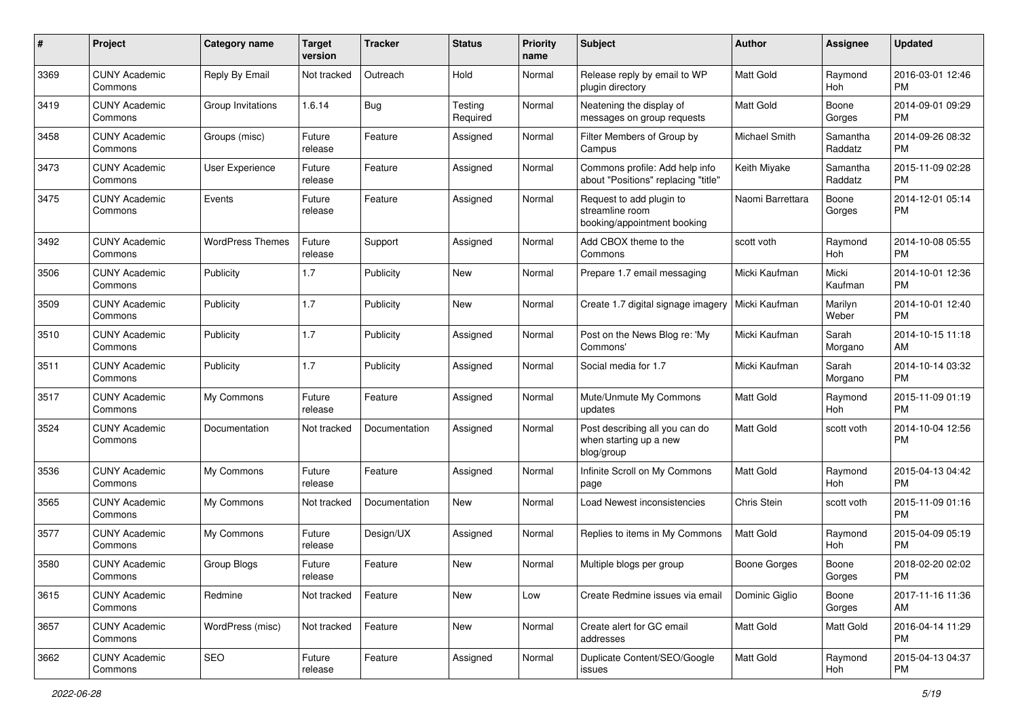| #    | Project                         | <b>Category name</b>    | <b>Target</b><br>version | <b>Tracker</b> | <b>Status</b>       | <b>Priority</b><br>name | Subject                                                                    | Author              | <b>Assignee</b>     | <b>Updated</b>                |
|------|---------------------------------|-------------------------|--------------------------|----------------|---------------------|-------------------------|----------------------------------------------------------------------------|---------------------|---------------------|-------------------------------|
| 3369 | <b>CUNY Academic</b><br>Commons | Reply By Email          | Not tracked              | Outreach       | Hold                | Normal                  | Release reply by email to WP<br>plugin directory                           | <b>Matt Gold</b>    | Raymond<br>Hoh      | 2016-03-01 12:46<br><b>PM</b> |
| 3419 | <b>CUNY Academic</b><br>Commons | Group Invitations       | 1.6.14                   | <b>Bug</b>     | Testing<br>Required | Normal                  | Neatening the display of<br>messages on group requests                     | Matt Gold           | Boone<br>Gorges     | 2014-09-01 09:29<br><b>PM</b> |
| 3458 | <b>CUNY Academic</b><br>Commons | Groups (misc)           | Future<br>release        | Feature        | Assigned            | Normal                  | Filter Members of Group by<br>Campus                                       | Michael Smith       | Samantha<br>Raddatz | 2014-09-26 08:32<br><b>PM</b> |
| 3473 | <b>CUNY Academic</b><br>Commons | User Experience         | Future<br>release        | Feature        | Assigned            | Normal                  | Commons profile: Add help info<br>about "Positions" replacing "title"      | Keith Miyake        | Samantha<br>Raddatz | 2015-11-09 02:28<br><b>PM</b> |
| 3475 | <b>CUNY Academic</b><br>Commons | Events                  | Future<br>release        | Feature        | Assigned            | Normal                  | Request to add plugin to<br>streamline room<br>booking/appointment booking | Naomi Barrettara    | Boone<br>Gorges     | 2014-12-01 05:14<br><b>PM</b> |
| 3492 | <b>CUNY Academic</b><br>Commons | <b>WordPress Themes</b> | Future<br>release        | Support        | Assigned            | Normal                  | Add CBOX theme to the<br>Commons                                           | scott voth          | Raymond<br>Hoh      | 2014-10-08 05:55<br><b>PM</b> |
| 3506 | <b>CUNY Academic</b><br>Commons | Publicity               | 1.7                      | Publicity      | New                 | Normal                  | Prepare 1.7 email messaging                                                | Micki Kaufman       | Micki<br>Kaufman    | 2014-10-01 12:36<br><b>PM</b> |
| 3509 | <b>CUNY Academic</b><br>Commons | Publicity               | 1.7                      | Publicity      | New                 | Normal                  | Create 1.7 digital signage imagery                                         | Micki Kaufman       | Marilyn<br>Weber    | 2014-10-01 12:40<br><b>PM</b> |
| 3510 | <b>CUNY Academic</b><br>Commons | Publicity               | 1.7                      | Publicity      | Assigned            | Normal                  | Post on the News Blog re: 'My<br>Commons'                                  | Micki Kaufman       | Sarah<br>Morgano    | 2014-10-15 11:18<br>AM        |
| 3511 | <b>CUNY Academic</b><br>Commons | Publicity               | 1.7                      | Publicity      | Assigned            | Normal                  | Social media for 1.7                                                       | Micki Kaufman       | Sarah<br>Morgano    | 2014-10-14 03:32<br><b>PM</b> |
| 3517 | <b>CUNY Academic</b><br>Commons | My Commons              | Future<br>release        | Feature        | Assigned            | Normal                  | Mute/Unmute My Commons<br>updates                                          | <b>Matt Gold</b>    | Raymond<br>Hoh      | 2015-11-09 01:19<br><b>PM</b> |
| 3524 | <b>CUNY Academic</b><br>Commons | Documentation           | Not tracked              | Documentation  | Assigned            | Normal                  | Post describing all you can do<br>when starting up a new<br>blog/group     | Matt Gold           | scott voth          | 2014-10-04 12:56<br><b>PM</b> |
| 3536 | <b>CUNY Academic</b><br>Commons | My Commons              | Future<br>release        | Feature        | Assigned            | Normal                  | Infinite Scroll on My Commons<br>page                                      | <b>Matt Gold</b>    | Raymond<br>Hoh      | 2015-04-13 04:42<br><b>PM</b> |
| 3565 | <b>CUNY Academic</b><br>Commons | My Commons              | Not tracked              | Documentation  | <b>New</b>          | Normal                  | Load Newest inconsistencies                                                | Chris Stein         | scott voth          | 2015-11-09 01:16<br><b>PM</b> |
| 3577 | <b>CUNY Academic</b><br>Commons | My Commons              | Future<br>release        | Design/UX      | Assigned            | Normal                  | Replies to items in My Commons                                             | <b>Matt Gold</b>    | Raymond<br>Hoh      | 2015-04-09 05:19<br><b>PM</b> |
| 3580 | <b>CUNY Academic</b><br>Commons | Group Blogs             | Future<br>release        | Feature        | New                 | Normal                  | Multiple blogs per group                                                   | <b>Boone Gorges</b> | Boone<br>Gorges     | 2018-02-20 02:02<br>PM        |
| 3615 | <b>CUNY Academic</b><br>Commons | Redmine                 | Not tracked              | Feature        | New                 | Low                     | Create Redmine issues via email                                            | Dominic Giglio      | Boone<br>Gorges     | 2017-11-16 11:36<br>AM        |
| 3657 | <b>CUNY Academic</b><br>Commons | WordPress (misc)        | Not tracked              | Feature        | New                 | Normal                  | Create alert for GC email<br>addresses                                     | Matt Gold           | Matt Gold           | 2016-04-14 11:29<br>PM        |
| 3662 | <b>CUNY Academic</b><br>Commons | SEO                     | Future<br>release        | Feature        | Assigned            | Normal                  | Duplicate Content/SEO/Google<br>issues                                     | Matt Gold           | Raymond<br>Hoh      | 2015-04-13 04:37<br><b>PM</b> |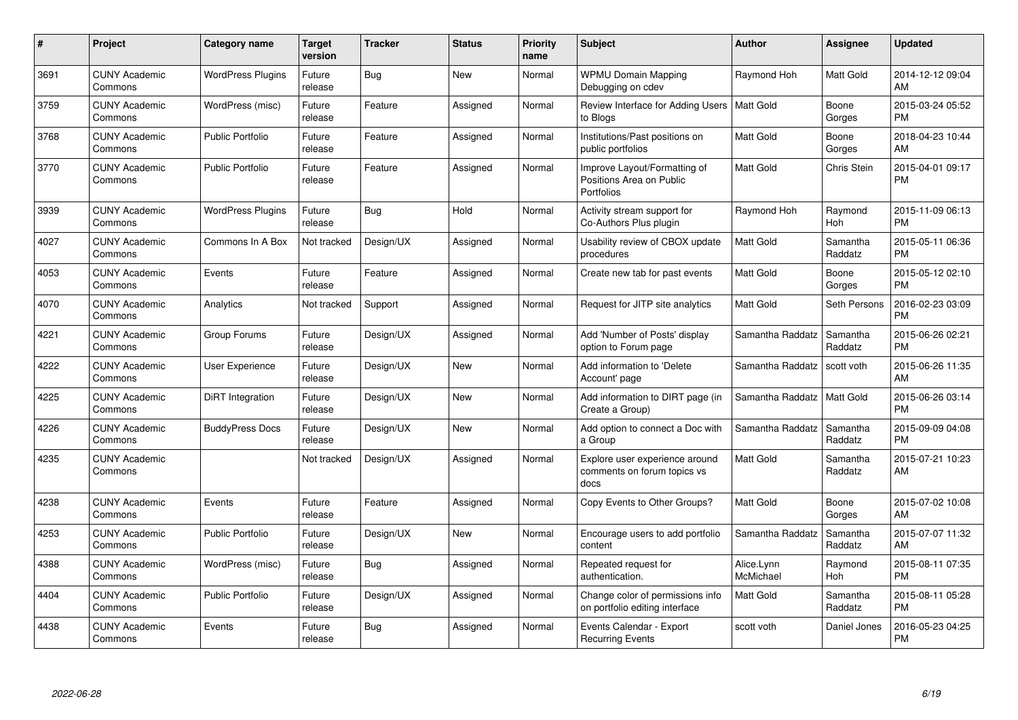| #    | Project                         | Category name            | Target<br>version | <b>Tracker</b> | <b>Status</b> | <b>Priority</b><br>name | <b>Subject</b>                                                         | <b>Author</b>           | <b>Assignee</b>       | <b>Updated</b>                |
|------|---------------------------------|--------------------------|-------------------|----------------|---------------|-------------------------|------------------------------------------------------------------------|-------------------------|-----------------------|-------------------------------|
| 3691 | <b>CUNY Academic</b><br>Commons | <b>WordPress Plugins</b> | Future<br>release | <b>Bug</b>     | <b>New</b>    | Normal                  | <b>WPMU Domain Mapping</b><br>Debugging on cdev                        | Raymond Hoh             | Matt Gold             | 2014-12-12 09:04<br>AM        |
| 3759 | <b>CUNY Academic</b><br>Commons | WordPress (misc)         | Future<br>release | Feature        | Assigned      | Normal                  | Review Interface for Adding Users   Matt Gold<br>to Blogs              |                         | Boone<br>Gorges       | 2015-03-24 05:52<br><b>PM</b> |
| 3768 | <b>CUNY Academic</b><br>Commons | <b>Public Portfolio</b>  | Future<br>release | Feature        | Assigned      | Normal                  | Institutions/Past positions on<br>public portfolios                    | Matt Gold               | Boone<br>Gorges       | 2018-04-23 10:44<br>AM        |
| 3770 | <b>CUNY Academic</b><br>Commons | <b>Public Portfolio</b>  | Future<br>release | Feature        | Assigned      | Normal                  | Improve Layout/Formatting of<br>Positions Area on Public<br>Portfolios | Matt Gold               | Chris Stein           | 2015-04-01 09:17<br><b>PM</b> |
| 3939 | <b>CUNY Academic</b><br>Commons | <b>WordPress Plugins</b> | Future<br>release | <b>Bug</b>     | Hold          | Normal                  | Activity stream support for<br>Co-Authors Plus plugin                  | Raymond Hoh             | Raymond<br><b>Hoh</b> | 2015-11-09 06:13<br><b>PM</b> |
| 4027 | <b>CUNY Academic</b><br>Commons | Commons In A Box         | Not tracked       | Design/UX      | Assigned      | Normal                  | Usability review of CBOX update<br>procedures                          | <b>Matt Gold</b>        | Samantha<br>Raddatz   | 2015-05-11 06:36<br><b>PM</b> |
| 4053 | <b>CUNY Academic</b><br>Commons | Events                   | Future<br>release | Feature        | Assigned      | Normal                  | Create new tab for past events                                         | Matt Gold               | Boone<br>Gorges       | 2015-05-12 02:10<br><b>PM</b> |
| 4070 | <b>CUNY Academic</b><br>Commons | Analytics                | Not tracked       | Support        | Assigned      | Normal                  | Request for JITP site analytics                                        | <b>Matt Gold</b>        | Seth Persons          | 2016-02-23 03:09<br><b>PM</b> |
| 4221 | <b>CUNY Academic</b><br>Commons | Group Forums             | Future<br>release | Design/UX      | Assigned      | Normal                  | Add 'Number of Posts' display<br>option to Forum page                  | Samantha Raddatz        | Samantha<br>Raddatz   | 2015-06-26 02:21<br><b>PM</b> |
| 4222 | <b>CUNY Academic</b><br>Commons | User Experience          | Future<br>release | Design/UX      | <b>New</b>    | Normal                  | Add information to 'Delete<br>Account' page                            | Samantha Raddatz        | scott voth            | 2015-06-26 11:35<br>AM        |
| 4225 | <b>CUNY Academic</b><br>Commons | DiRT Integration         | Future<br>release | Design/UX      | <b>New</b>    | Normal                  | Add information to DIRT page (in<br>Create a Group)                    | Samantha Raddatz        | <b>Matt Gold</b>      | 2015-06-26 03:14<br><b>PM</b> |
| 4226 | <b>CUNY Academic</b><br>Commons | <b>BuddyPress Docs</b>   | Future<br>release | Design/UX      | <b>New</b>    | Normal                  | Add option to connect a Doc with<br>a Group                            | Samantha Raddatz        | Samantha<br>Raddatz   | 2015-09-09 04:08<br><b>PM</b> |
| 4235 | <b>CUNY Academic</b><br>Commons |                          | Not tracked       | Design/UX      | Assigned      | Normal                  | Explore user experience around<br>comments on forum topics vs<br>docs  | <b>Matt Gold</b>        | Samantha<br>Raddatz   | 2015-07-21 10:23<br>AM        |
| 4238 | <b>CUNY Academic</b><br>Commons | Events                   | Future<br>release | Feature        | Assigned      | Normal                  | Copy Events to Other Groups?                                           | <b>Matt Gold</b>        | Boone<br>Gorges       | 2015-07-02 10:08<br>AM        |
| 4253 | <b>CUNY Academic</b><br>Commons | <b>Public Portfolio</b>  | Future<br>release | Design/UX      | <b>New</b>    | Normal                  | Encourage users to add portfolio<br>content                            | Samantha Raddatz        | Samantha<br>Raddatz   | 2015-07-07 11:32<br>AM        |
| 4388 | <b>CUNY Academic</b><br>Commons | WordPress (misc)         | Future<br>release | Bug            | Assigned      | Normal                  | Repeated request for<br>authentication.                                | Alice.Lynn<br>McMichael | Raymond<br>Hoh        | 2015-08-11 07:35<br><b>PM</b> |
| 4404 | <b>CUNY Academic</b><br>Commons | <b>Public Portfolio</b>  | Future<br>release | Design/UX      | Assigned      | Normal                  | Change color of permissions info<br>on portfolio editing interface     | <b>Matt Gold</b>        | Samantha<br>Raddatz   | 2015-08-11 05:28<br><b>PM</b> |
| 4438 | CUNY Academic<br>Commons        | Events                   | Future<br>release | <b>Bug</b>     | Assigned      | Normal                  | Events Calendar - Export<br><b>Recurring Events</b>                    | scott voth              | Daniel Jones          | 2016-05-23 04:25<br><b>PM</b> |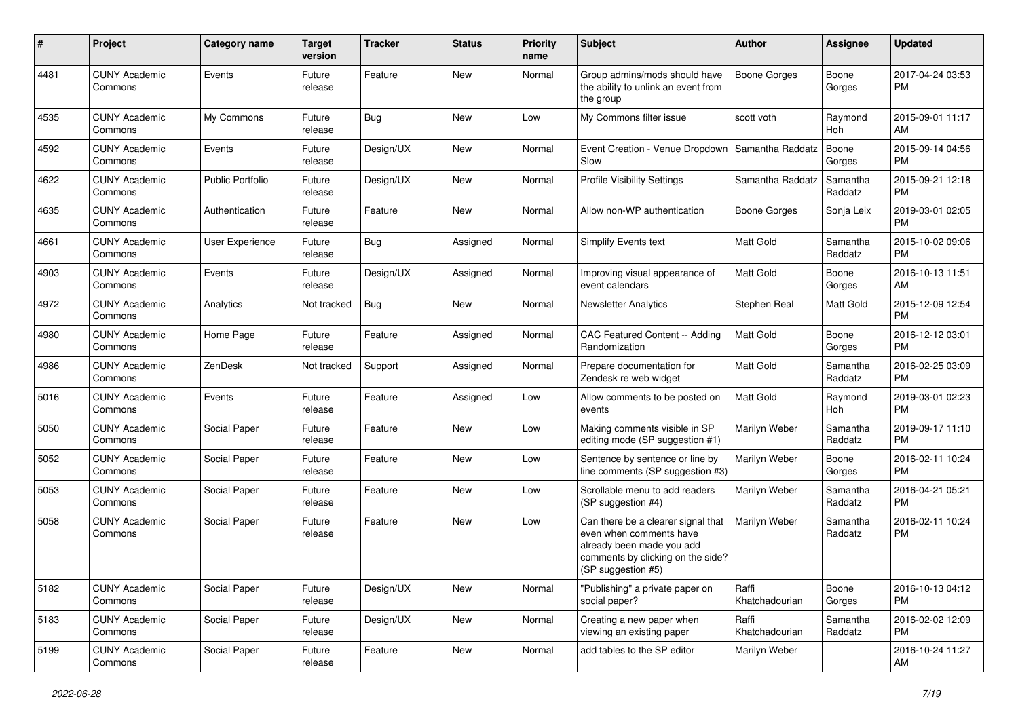| #    | Project                         | <b>Category name</b>    | <b>Target</b><br>version | <b>Tracker</b> | <b>Status</b> | <b>Priority</b><br>name | <b>Subject</b>                                                                                                                                        | Author                  | <b>Assignee</b>     | <b>Updated</b>                |
|------|---------------------------------|-------------------------|--------------------------|----------------|---------------|-------------------------|-------------------------------------------------------------------------------------------------------------------------------------------------------|-------------------------|---------------------|-------------------------------|
| 4481 | <b>CUNY Academic</b><br>Commons | Events                  | Future<br>release        | Feature        | <b>New</b>    | Normal                  | Group admins/mods should have<br>the ability to unlink an event from<br>the group                                                                     | <b>Boone Gorges</b>     | Boone<br>Gorges     | 2017-04-24 03:53<br><b>PM</b> |
| 4535 | <b>CUNY Academic</b><br>Commons | My Commons              | Future<br>release        | Bug            | New           | Low                     | My Commons filter issue                                                                                                                               | scott voth              | Raymond<br>Hoh      | 2015-09-01 11:17<br>AM        |
| 4592 | <b>CUNY Academic</b><br>Commons | Events                  | Future<br>release        | Design/UX      | New           | Normal                  | Event Creation - Venue Dropdown<br>Slow                                                                                                               | Samantha Raddatz        | Boone<br>Gorges     | 2015-09-14 04:56<br><b>PM</b> |
| 4622 | <b>CUNY Academic</b><br>Commons | <b>Public Portfolio</b> | Future<br>release        | Design/UX      | New           | Normal                  | Profile Visibility Settings                                                                                                                           | Samantha Raddatz        | Samantha<br>Raddatz | 2015-09-21 12:18<br><b>PM</b> |
| 4635 | <b>CUNY Academic</b><br>Commons | Authentication          | Future<br>release        | Feature        | New           | Normal                  | Allow non-WP authentication                                                                                                                           | Boone Gorges            | Sonja Leix          | 2019-03-01 02:05<br><b>PM</b> |
| 4661 | <b>CUNY Academic</b><br>Commons | User Experience         | Future<br>release        | <b>Bug</b>     | Assigned      | Normal                  | Simplify Events text                                                                                                                                  | <b>Matt Gold</b>        | Samantha<br>Raddatz | 2015-10-02 09:06<br><b>PM</b> |
| 4903 | <b>CUNY Academic</b><br>Commons | Events                  | Future<br>release        | Design/UX      | Assigned      | Normal                  | Improving visual appearance of<br>event calendars                                                                                                     | <b>Matt Gold</b>        | Boone<br>Gorges     | 2016-10-13 11:51<br>AM        |
| 4972 | <b>CUNY Academic</b><br>Commons | Analytics               | Not tracked              | Bug            | New           | Normal                  | <b>Newsletter Analytics</b>                                                                                                                           | Stephen Real            | <b>Matt Gold</b>    | 2015-12-09 12:54<br><b>PM</b> |
| 4980 | <b>CUNY Academic</b><br>Commons | Home Page               | Future<br>release        | Feature        | Assigned      | Normal                  | CAC Featured Content -- Adding<br>Randomization                                                                                                       | Matt Gold               | Boone<br>Gorges     | 2016-12-12 03:01<br><b>PM</b> |
| 4986 | <b>CUNY Academic</b><br>Commons | ZenDesk                 | Not tracked              | Support        | Assigned      | Normal                  | Prepare documentation for<br>Zendesk re web widget                                                                                                    | <b>Matt Gold</b>        | Samantha<br>Raddatz | 2016-02-25 03:09<br><b>PM</b> |
| 5016 | <b>CUNY Academic</b><br>Commons | Events                  | Future<br>release        | Feature        | Assigned      | Low                     | Allow comments to be posted on<br>events                                                                                                              | Matt Gold               | Raymond<br>Hoh      | 2019-03-01 02:23<br>PM        |
| 5050 | <b>CUNY Academic</b><br>Commons | Social Paper            | Future<br>release        | Feature        | <b>New</b>    | Low                     | Making comments visible in SP<br>editing mode (SP suggestion #1)                                                                                      | Marilyn Weber           | Samantha<br>Raddatz | 2019-09-17 11:10<br><b>PM</b> |
| 5052 | <b>CUNY Academic</b><br>Commons | Social Paper            | Future<br>release        | Feature        | <b>New</b>    | Low                     | Sentence by sentence or line by<br>line comments (SP suggestion #3)                                                                                   | Marilyn Weber           | Boone<br>Gorges     | 2016-02-11 10:24<br><b>PM</b> |
| 5053 | <b>CUNY Academic</b><br>Commons | Social Paper            | Future<br>release        | Feature        | <b>New</b>    | Low                     | Scrollable menu to add readers<br>(SP suggestion #4)                                                                                                  | Marilyn Weber           | Samantha<br>Raddatz | 2016-04-21 05:21<br><b>PM</b> |
| 5058 | <b>CUNY Academic</b><br>Commons | Social Paper            | Future<br>release        | Feature        | <b>New</b>    | Low                     | Can there be a clearer signal that<br>even when comments have<br>already been made you add<br>comments by clicking on the side?<br>(SP suggestion #5) | Marilyn Weber           | Samantha<br>Raddatz | 2016-02-11 10:24<br><b>PM</b> |
| 5182 | <b>CUNY Academic</b><br>Commons | Social Paper            | Future<br>release        | Design/UX      | New           | Normal                  | "Publishing" a private paper on<br>social paper?                                                                                                      | Raffi<br>Khatchadourian | Boone<br>Gorges     | 2016-10-13 04:12<br><b>PM</b> |
| 5183 | <b>CUNY Academic</b><br>Commons | Social Paper            | Future<br>release        | Design/UX      | New           | Normal                  | Creating a new paper when<br>viewing an existing paper                                                                                                | Raffi<br>Khatchadourian | Samantha<br>Raddatz | 2016-02-02 12:09<br><b>PM</b> |
| 5199 | <b>CUNY Academic</b><br>Commons | Social Paper            | Future<br>release        | Feature        | New           | Normal                  | add tables to the SP editor                                                                                                                           | Marilyn Weber           |                     | 2016-10-24 11:27<br>AM        |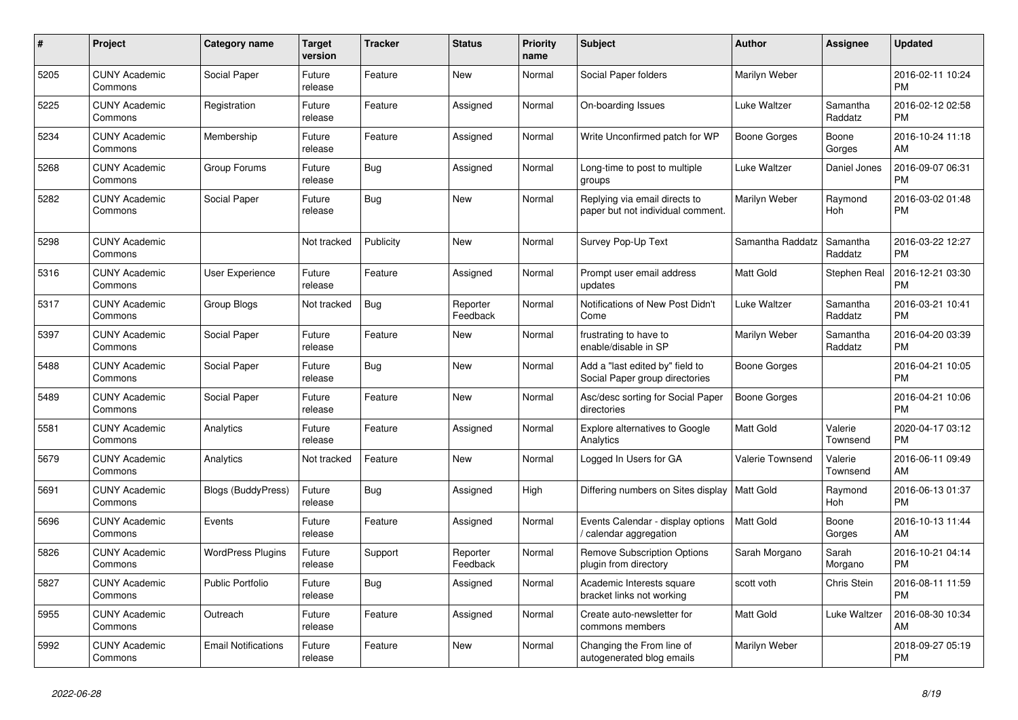| $\pmb{\#}$ | <b>Project</b>                  | Category name              | <b>Target</b><br>version | Tracker    | <b>Status</b>        | <b>Priority</b><br>name | <b>Subject</b>                                                     | <b>Author</b>       | <b>Assignee</b>       | <b>Updated</b>                |
|------------|---------------------------------|----------------------------|--------------------------|------------|----------------------|-------------------------|--------------------------------------------------------------------|---------------------|-----------------------|-------------------------------|
| 5205       | <b>CUNY Academic</b><br>Commons | Social Paper               | Future<br>release        | Feature    | <b>New</b>           | Normal                  | Social Paper folders                                               | Marilyn Weber       |                       | 2016-02-11 10:24<br><b>PM</b> |
| 5225       | <b>CUNY Academic</b><br>Commons | Registration               | Future<br>release        | Feature    | Assigned             | Normal                  | On-boarding Issues                                                 | Luke Waltzer        | Samantha<br>Raddatz   | 2016-02-12 02:58<br><b>PM</b> |
| 5234       | <b>CUNY Academic</b><br>Commons | Membership                 | Future<br>release        | Feature    | Assigned             | Normal                  | Write Unconfirmed patch for WP                                     | <b>Boone Gorges</b> | Boone<br>Gorges       | 2016-10-24 11:18<br>AM        |
| 5268       | <b>CUNY Academic</b><br>Commons | Group Forums               | Future<br>release        | <b>Bug</b> | Assigned             | Normal                  | Long-time to post to multiple<br>groups                            | Luke Waltzer        | Daniel Jones          | 2016-09-07 06:31<br><b>PM</b> |
| 5282       | <b>CUNY Academic</b><br>Commons | Social Paper               | Future<br>release        | Bug        | <b>New</b>           | Normal                  | Replying via email directs to<br>paper but not individual comment. | Marilyn Weber       | Raymond<br>Hoh        | 2016-03-02 01:48<br><b>PM</b> |
| 5298       | <b>CUNY Academic</b><br>Commons |                            | Not tracked              | Publicity  | New                  | Normal                  | Survey Pop-Up Text                                                 | Samantha Raddatz    | Samantha<br>Raddatz   | 2016-03-22 12:27<br><b>PM</b> |
| 5316       | <b>CUNY Academic</b><br>Commons | <b>User Experience</b>     | Future<br>release        | Feature    | Assigned             | Normal                  | Prompt user email address<br>updates                               | <b>Matt Gold</b>    | <b>Stephen Real</b>   | 2016-12-21 03:30<br><b>PM</b> |
| 5317       | <b>CUNY Academic</b><br>Commons | Group Blogs                | Not tracked              | Bug        | Reporter<br>Feedback | Normal                  | Notifications of New Post Didn't<br>Come                           | Luke Waltzer        | Samantha<br>Raddatz   | 2016-03-21 10:41<br><b>PM</b> |
| 5397       | <b>CUNY Academic</b><br>Commons | Social Paper               | Future<br>release        | Feature    | <b>New</b>           | Normal                  | frustrating to have to<br>enable/disable in SP                     | Marilyn Weber       | Samantha<br>Raddatz   | 2016-04-20 03:39<br><b>PM</b> |
| 5488       | <b>CUNY Academic</b><br>Commons | Social Paper               | Future<br>release        | <b>Bug</b> | <b>New</b>           | Normal                  | Add a "last edited by" field to<br>Social Paper group directories  | Boone Gorges        |                       | 2016-04-21 10:05<br><b>PM</b> |
| 5489       | <b>CUNY Academic</b><br>Commons | Social Paper               | Future<br>release        | Feature    | <b>New</b>           | Normal                  | Asc/desc sorting for Social Paper<br>directories                   | <b>Boone Gorges</b> |                       | 2016-04-21 10:06<br><b>PM</b> |
| 5581       | <b>CUNY Academic</b><br>Commons | Analytics                  | Future<br>release        | Feature    | Assigned             | Normal                  | <b>Explore alternatives to Google</b><br>Analytics                 | <b>Matt Gold</b>    | Valerie<br>Townsend   | 2020-04-17 03:12<br><b>PM</b> |
| 5679       | <b>CUNY Academic</b><br>Commons | Analytics                  | Not tracked              | Feature    | New                  | Normal                  | Logged In Users for GA                                             | Valerie Townsend    | Valerie<br>Townsend   | 2016-06-11 09:49<br>AM        |
| 5691       | <b>CUNY Academic</b><br>Commons | Blogs (BuddyPress)         | Future<br>release        | Bug        | Assigned             | High                    | Differing numbers on Sites display                                 | <b>Matt Gold</b>    | Raymond<br><b>Hoh</b> | 2016-06-13 01:37<br><b>PM</b> |
| 5696       | <b>CUNY Academic</b><br>Commons | Events                     | Future<br>release        | Feature    | Assigned             | Normal                  | Events Calendar - display options<br>calendar aggregation          | <b>Matt Gold</b>    | Boone<br>Gorges       | 2016-10-13 11:44<br>AM        |
| 5826       | <b>CUNY Academic</b><br>Commons | <b>WordPress Plugins</b>   | Future<br>release        | Support    | Reporter<br>Feedback | Normal                  | <b>Remove Subscription Options</b><br>plugin from directory        | Sarah Morgano       | Sarah<br>Morgano      | 2016-10-21 04:14<br><b>PM</b> |
| 5827       | <b>CUNY Academic</b><br>Commons | Public Portfolio           | Future<br>release        | <b>Bug</b> | Assigned             | Normal                  | Academic Interests square<br>bracket links not working             | scott voth          | Chris Stein           | 2016-08-11 11:59<br><b>PM</b> |
| 5955       | <b>CUNY Academic</b><br>Commons | Outreach                   | Future<br>release        | Feature    | Assigned             | Normal                  | Create auto-newsletter for<br>commons members                      | <b>Matt Gold</b>    | Luke Waltzer          | 2016-08-30 10:34<br>AM        |
| 5992       | <b>CUNY Academic</b><br>Commons | <b>Email Notifications</b> | Future<br>release        | Feature    | <b>New</b>           | Normal                  | Changing the From line of<br>autogenerated blog emails             | Marilyn Weber       |                       | 2018-09-27 05:19<br><b>PM</b> |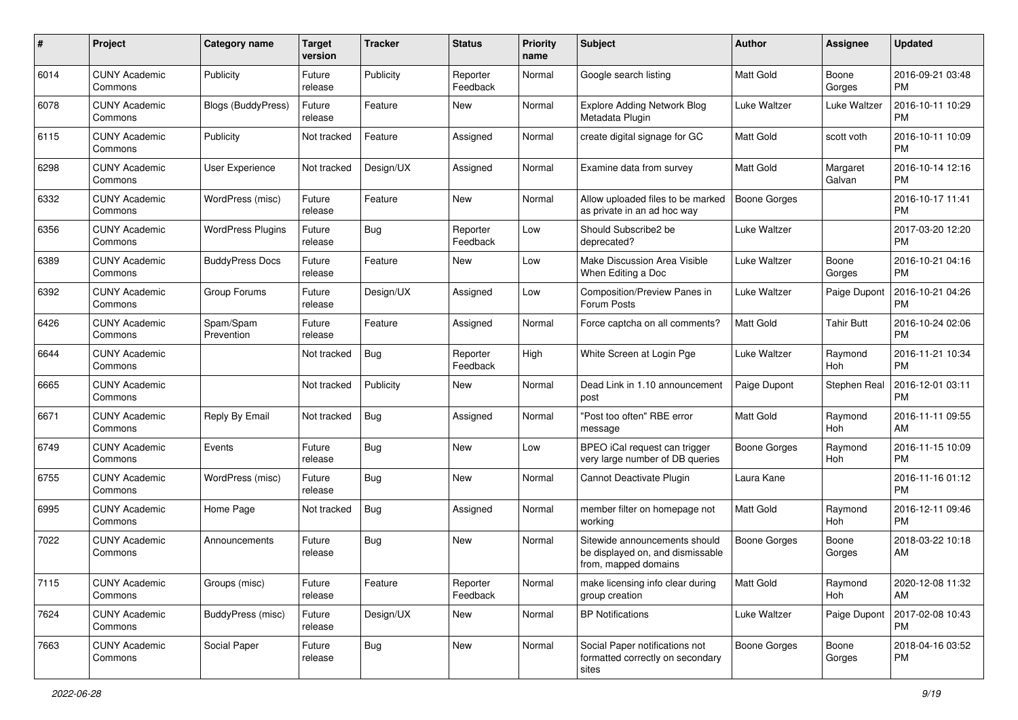| #    | Project                         | <b>Category name</b>      | <b>Target</b><br>version | <b>Tracker</b> | <b>Status</b>        | <b>Priority</b><br>name | Subject                                                                                   | Author              | <b>Assignee</b>       | <b>Updated</b>                |
|------|---------------------------------|---------------------------|--------------------------|----------------|----------------------|-------------------------|-------------------------------------------------------------------------------------------|---------------------|-----------------------|-------------------------------|
| 6014 | <b>CUNY Academic</b><br>Commons | Publicity                 | Future<br>release        | Publicity      | Reporter<br>Feedback | Normal                  | Google search listing                                                                     | <b>Matt Gold</b>    | Boone<br>Gorges       | 2016-09-21 03:48<br><b>PM</b> |
| 6078 | <b>CUNY Academic</b><br>Commons | <b>Blogs (BuddyPress)</b> | Future<br>release        | Feature        | New                  | Normal                  | <b>Explore Adding Network Blog</b><br>Metadata Plugin                                     | Luke Waltzer        | Luke Waltzer          | 2016-10-11 10:29<br><b>PM</b> |
| 6115 | <b>CUNY Academic</b><br>Commons | Publicity                 | Not tracked              | Feature        | Assigned             | Normal                  | create digital signage for GC                                                             | <b>Matt Gold</b>    | scott voth            | 2016-10-11 10:09<br><b>PM</b> |
| 6298 | <b>CUNY Academic</b><br>Commons | User Experience           | Not tracked              | Design/UX      | Assigned             | Normal                  | Examine data from survey                                                                  | <b>Matt Gold</b>    | Margaret<br>Galvan    | 2016-10-14 12:16<br><b>PM</b> |
| 6332 | <b>CUNY Academic</b><br>Commons | WordPress (misc)          | Future<br>release        | Feature        | <b>New</b>           | Normal                  | Allow uploaded files to be marked<br>as private in an ad hoc way                          | <b>Boone Gorges</b> |                       | 2016-10-17 11:41<br><b>PM</b> |
| 6356 | <b>CUNY Academic</b><br>Commons | <b>WordPress Plugins</b>  | Future<br>release        | <b>Bug</b>     | Reporter<br>Feedback | Low                     | Should Subscribe2 be<br>deprecated?                                                       | Luke Waltzer        |                       | 2017-03-20 12:20<br><b>PM</b> |
| 6389 | <b>CUNY Academic</b><br>Commons | <b>BuddyPress Docs</b>    | Future<br>release        | Feature        | New                  | Low                     | Make Discussion Area Visible<br>When Editing a Doc                                        | Luke Waltzer        | Boone<br>Gorges       | 2016-10-21 04:16<br><b>PM</b> |
| 6392 | <b>CUNY Academic</b><br>Commons | Group Forums              | Future<br>release        | Design/UX      | Assigned             | Low                     | Composition/Preview Panes in<br>Forum Posts                                               | Luke Waltzer        | Paige Dupont          | 2016-10-21 04:26<br><b>PM</b> |
| 6426 | <b>CUNY Academic</b><br>Commons | Spam/Spam<br>Prevention   | Future<br>release        | Feature        | Assigned             | Normal                  | Force captcha on all comments?                                                            | Matt Gold           | <b>Tahir Butt</b>     | 2016-10-24 02:06<br><b>PM</b> |
| 6644 | <b>CUNY Academic</b><br>Commons |                           | Not tracked              | <b>Bug</b>     | Reporter<br>Feedback | High                    | White Screen at Login Pge                                                                 | Luke Waltzer        | Raymond<br>Hoh        | 2016-11-21 10:34<br><b>PM</b> |
| 6665 | <b>CUNY Academic</b><br>Commons |                           | Not tracked              | Publicity      | New                  | Normal                  | Dead Link in 1.10 announcement<br>post                                                    | Paige Dupont        | Stephen Real          | 2016-12-01 03:11<br><b>PM</b> |
| 6671 | <b>CUNY Academic</b><br>Commons | Reply By Email            | Not tracked              | <b>Bug</b>     | Assigned             | Normal                  | "Post too often" RBE error<br>message                                                     | <b>Matt Gold</b>    | Raymond<br><b>Hoh</b> | 2016-11-11 09:55<br>AM        |
| 6749 | <b>CUNY Academic</b><br>Commons | Events                    | Future<br>release        | <b>Bug</b>     | New                  | Low                     | BPEO iCal request can trigger<br>very large number of DB queries                          | <b>Boone Gorges</b> | Raymond<br>Hoh        | 2016-11-15 10:09<br><b>PM</b> |
| 6755 | <b>CUNY Academic</b><br>Commons | WordPress (misc)          | Future<br>release        | <b>Bug</b>     | New                  | Normal                  | Cannot Deactivate Plugin                                                                  | Laura Kane          |                       | 2016-11-16 01:12<br><b>PM</b> |
| 6995 | <b>CUNY Academic</b><br>Commons | Home Page                 | Not tracked              | <b>Bug</b>     | Assigned             | Normal                  | member filter on homepage not<br>working                                                  | Matt Gold           | Raymond<br>Hoh        | 2016-12-11 09:46<br><b>PM</b> |
| 7022 | <b>CUNY Academic</b><br>Commons | Announcements             | Future<br>release        | <b>Bug</b>     | <b>New</b>           | Normal                  | Sitewide announcements should<br>be displayed on, and dismissable<br>from, mapped domains | <b>Boone Gorges</b> | Boone<br>Gorges       | 2018-03-22 10:18<br>AM        |
| 7115 | <b>CUNY Academic</b><br>Commons | Groups (misc)             | Future<br>release        | Feature        | Reporter<br>Feedback | Normal                  | make licensing info clear during<br>group creation                                        | Matt Gold           | Raymond<br>Hoh        | 2020-12-08 11:32<br>AM        |
| 7624 | <b>CUNY Academic</b><br>Commons | BuddyPress (misc)         | Future<br>release        | Design/UX      | New                  | Normal                  | <b>BP Notifications</b>                                                                   | Luke Waltzer        | Paige Dupont          | 2017-02-08 10:43<br>PM        |
| 7663 | <b>CUNY Academic</b><br>Commons | Social Paper              | Future<br>release        | <b>Bug</b>     | New                  | Normal                  | Social Paper notifications not<br>formatted correctly on secondary<br>sites               | <b>Boone Gorges</b> | Boone<br>Gorges       | 2018-04-16 03:52<br><b>PM</b> |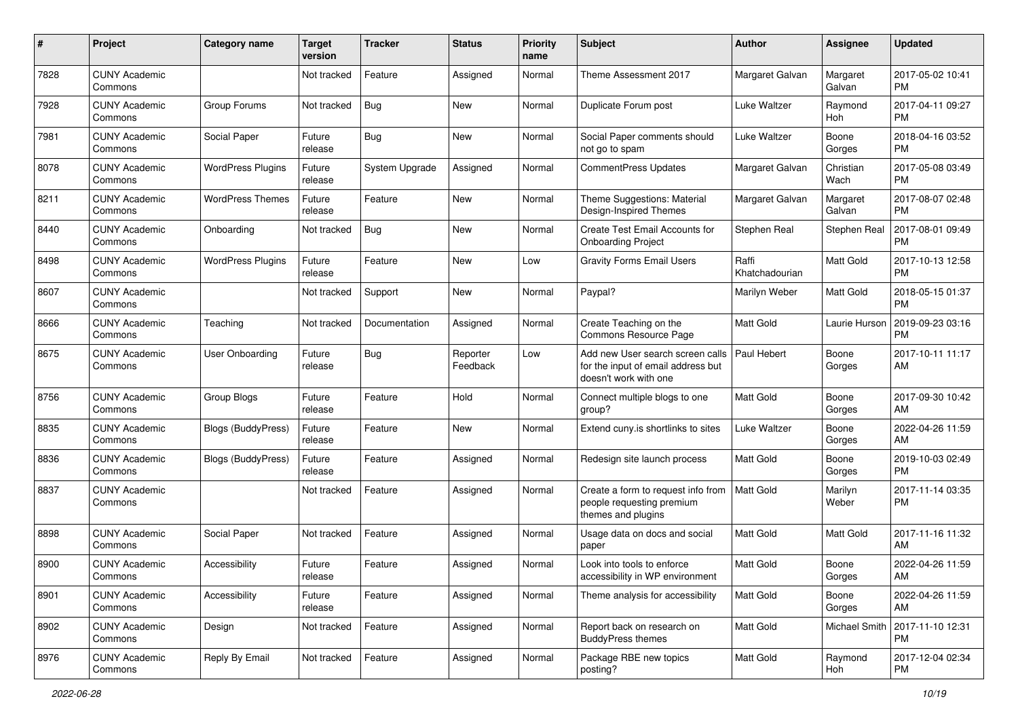| #    | Project                         | <b>Category name</b>      | <b>Target</b><br>version | <b>Tracker</b> | <b>Status</b>        | <b>Priority</b><br>name | <b>Subject</b>                                                                                  | Author                  | <b>Assignee</b>    | <b>Updated</b>                |
|------|---------------------------------|---------------------------|--------------------------|----------------|----------------------|-------------------------|-------------------------------------------------------------------------------------------------|-------------------------|--------------------|-------------------------------|
| 7828 | <b>CUNY Academic</b><br>Commons |                           | Not tracked              | Feature        | Assigned             | Normal                  | Theme Assessment 2017                                                                           | Margaret Galvan         | Margaret<br>Galvan | 2017-05-02 10:41<br>PM        |
| 7928 | <b>CUNY Academic</b><br>Commons | Group Forums              | Not tracked              | <b>Bug</b>     | <b>New</b>           | Normal                  | Duplicate Forum post                                                                            | Luke Waltzer            | Raymond<br>Hoh     | 2017-04-11 09:27<br><b>PM</b> |
| 7981 | <b>CUNY Academic</b><br>Commons | Social Paper              | Future<br>release        | <b>Bug</b>     | New                  | Normal                  | Social Paper comments should<br>not go to spam                                                  | Luke Waltzer            | Boone<br>Gorges    | 2018-04-16 03:52<br><b>PM</b> |
| 8078 | <b>CUNY Academic</b><br>Commons | <b>WordPress Plugins</b>  | Future<br>release        | System Upgrade | Assigned             | Normal                  | CommentPress Updates                                                                            | Margaret Galvan         | Christian<br>Wach  | 2017-05-08 03:49<br><b>PM</b> |
| 8211 | <b>CUNY Academic</b><br>Commons | <b>WordPress Themes</b>   | Future<br>release        | Feature        | New                  | Normal                  | Theme Suggestions: Material<br>Design-Inspired Themes                                           | Margaret Galvan         | Margaret<br>Galvan | 2017-08-07 02:48<br><b>PM</b> |
| 8440 | <b>CUNY Academic</b><br>Commons | Onboarding                | Not tracked              | <b>Bug</b>     | <b>New</b>           | Normal                  | Create Test Email Accounts for<br><b>Onboarding Project</b>                                     | Stephen Real            | Stephen Real       | 2017-08-01 09:49<br><b>PM</b> |
| 8498 | <b>CUNY Academic</b><br>Commons | <b>WordPress Plugins</b>  | Future<br>release        | Feature        | <b>New</b>           | Low                     | <b>Gravity Forms Email Users</b>                                                                | Raffi<br>Khatchadourian | Matt Gold          | 2017-10-13 12:58<br><b>PM</b> |
| 8607 | <b>CUNY Academic</b><br>Commons |                           | Not tracked              | Support        | <b>New</b>           | Normal                  | Paypal?                                                                                         | Marilyn Weber           | Matt Gold          | 2018-05-15 01:37<br><b>PM</b> |
| 8666 | <b>CUNY Academic</b><br>Commons | Teaching                  | Not tracked              | Documentation  | Assigned             | Normal                  | Create Teaching on the<br>Commons Resource Page                                                 | Matt Gold               | Laurie Hurson      | 2019-09-23 03:16<br><b>PM</b> |
| 8675 | <b>CUNY Academic</b><br>Commons | <b>User Onboarding</b>    | Future<br>release        | <b>Bug</b>     | Reporter<br>Feedback | Low                     | Add new User search screen calls<br>for the input of email address but<br>doesn't work with one | Paul Hebert             | Boone<br>Gorges    | 2017-10-11 11:17<br>AM        |
| 8756 | <b>CUNY Academic</b><br>Commons | Group Blogs               | Future<br>release        | Feature        | Hold                 | Normal                  | Connect multiple blogs to one<br>group?                                                         | Matt Gold               | Boone<br>Gorges    | 2017-09-30 10:42<br>AM        |
| 8835 | <b>CUNY Academic</b><br>Commons | <b>Blogs (BuddyPress)</b> | Future<br>release        | Feature        | <b>New</b>           | Normal                  | Extend cuny is shortlinks to sites                                                              | Luke Waltzer            | Boone<br>Gorges    | 2022-04-26 11:59<br>AM        |
| 8836 | <b>CUNY Academic</b><br>Commons | Blogs (BuddyPress)        | Future<br>release        | Feature        | Assigned             | Normal                  | Redesign site launch process                                                                    | <b>Matt Gold</b>        | Boone<br>Gorges    | 2019-10-03 02:49<br><b>PM</b> |
| 8837 | <b>CUNY Academic</b><br>Commons |                           | Not tracked              | Feature        | Assigned             | Normal                  | Create a form to request info from<br>people requesting premium<br>themes and plugins           | <b>Matt Gold</b>        | Marilyn<br>Weber   | 2017-11-14 03:35<br><b>PM</b> |
| 8898 | <b>CUNY Academic</b><br>Commons | Social Paper              | Not tracked              | Feature        | Assigned             | Normal                  | Usage data on docs and social<br>paper                                                          | Matt Gold               | Matt Gold          | 2017-11-16 11:32<br>AM        |
| 8900 | <b>CUNY Academic</b><br>Commons | Accessibility             | Future<br>release        | Feature        | Assigned             | Normal                  | Look into tools to enforce<br>accessibility in WP environment                                   | Matt Gold               | Boone<br>Gorges    | 2022-04-26 11:59<br>AM        |
| 8901 | <b>CUNY Academic</b><br>Commons | Accessibility             | Future<br>release        | Feature        | Assigned             | Normal                  | Theme analysis for accessibility                                                                | Matt Gold               | Boone<br>Gorges    | 2022-04-26 11:59<br>AM        |
| 8902 | <b>CUNY Academic</b><br>Commons | Design                    | Not tracked              | Feature        | Assigned             | Normal                  | Report back on research on<br><b>BuddyPress themes</b>                                          | Matt Gold               | Michael Smith      | 2017-11-10 12:31<br><b>PM</b> |
| 8976 | <b>CUNY Academic</b><br>Commons | Reply By Email            | Not tracked              | Feature        | Assigned             | Normal                  | Package RBE new topics<br>posting?                                                              | Matt Gold               | Raymond<br>Hoh     | 2017-12-04 02:34<br><b>PM</b> |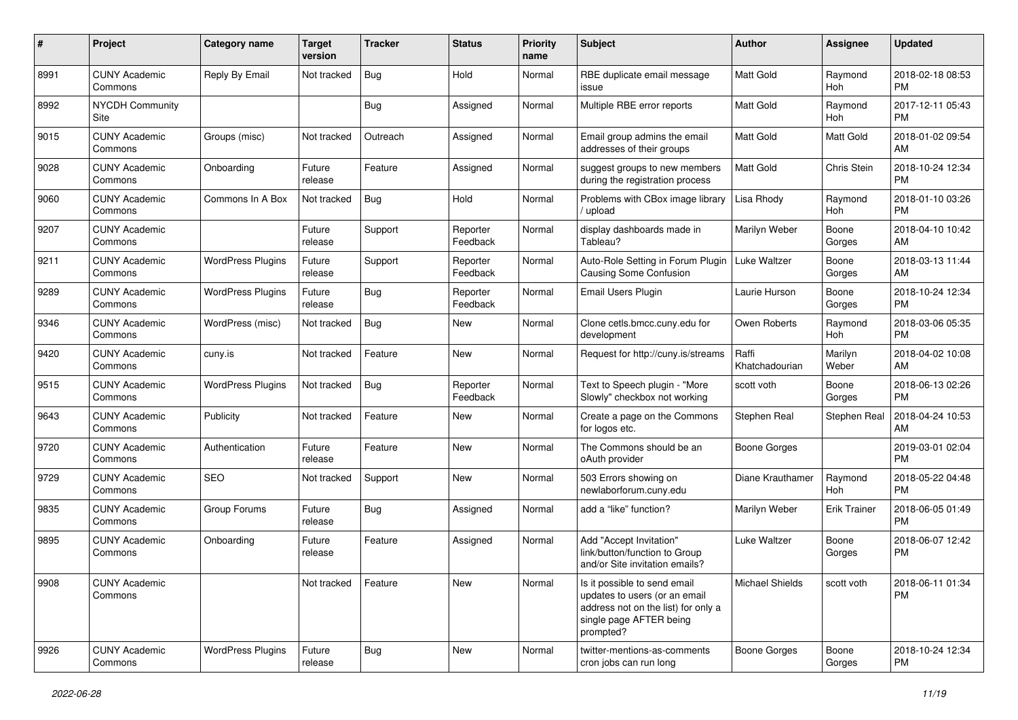| #    | Project                         | <b>Category name</b>     | <b>Target</b><br>version | <b>Tracker</b> | <b>Status</b>        | <b>Priority</b><br>name | Subject                                                                                                                                      | Author                  | <b>Assignee</b>       | <b>Updated</b>                |
|------|---------------------------------|--------------------------|--------------------------|----------------|----------------------|-------------------------|----------------------------------------------------------------------------------------------------------------------------------------------|-------------------------|-----------------------|-------------------------------|
| 8991 | <b>CUNY Academic</b><br>Commons | Reply By Email           | Not tracked              | <b>Bug</b>     | Hold                 | Normal                  | RBE duplicate email message<br>issue                                                                                                         | <b>Matt Gold</b>        | Raymond<br>Hoh        | 2018-02-18 08:53<br><b>PM</b> |
| 8992 | <b>NYCDH Community</b><br>Site  |                          |                          | Bug            | Assigned             | Normal                  | Multiple RBE error reports                                                                                                                   | <b>Matt Gold</b>        | Raymond<br>Hoh        | 2017-12-11 05:43<br><b>PM</b> |
| 9015 | <b>CUNY Academic</b><br>Commons | Groups (misc)            | Not tracked              | Outreach       | Assigned             | Normal                  | Email group admins the email<br>addresses of their groups                                                                                    | <b>Matt Gold</b>        | <b>Matt Gold</b>      | 2018-01-02 09:54<br>AM        |
| 9028 | <b>CUNY Academic</b><br>Commons | Onboarding               | Future<br>release        | Feature        | Assigned             | Normal                  | suggest groups to new members<br>during the registration process                                                                             | <b>Matt Gold</b>        | Chris Stein           | 2018-10-24 12:34<br><b>PM</b> |
| 9060 | <b>CUNY Academic</b><br>Commons | Commons In A Box         | Not tracked              | <b>Bug</b>     | Hold                 | Normal                  | Problems with CBox image library<br>upload                                                                                                   | Lisa Rhody              | Raymond<br>Hoh        | 2018-01-10 03:26<br><b>PM</b> |
| 9207 | <b>CUNY Academic</b><br>Commons |                          | Future<br>release        | Support        | Reporter<br>Feedback | Normal                  | display dashboards made in<br>Tableau?                                                                                                       | Marilyn Weber           | Boone<br>Gorges       | 2018-04-10 10:42<br>AM        |
| 9211 | <b>CUNY Academic</b><br>Commons | <b>WordPress Plugins</b> | Future<br>release        | Support        | Reporter<br>Feedback | Normal                  | Auto-Role Setting in Forum Plugin<br><b>Causing Some Confusion</b>                                                                           | Luke Waltzer            | Boone<br>Gorges       | 2018-03-13 11:44<br>AM        |
| 9289 | <b>CUNY Academic</b><br>Commons | <b>WordPress Plugins</b> | Future<br>release        | <b>Bug</b>     | Reporter<br>Feedback | Normal                  | Email Users Plugin                                                                                                                           | Laurie Hurson           | Boone<br>Gorges       | 2018-10-24 12:34<br><b>PM</b> |
| 9346 | <b>CUNY Academic</b><br>Commons | WordPress (misc)         | Not tracked              | <b>Bug</b>     | <b>New</b>           | Normal                  | Clone cetls.bmcc.cuny.edu for<br>development                                                                                                 | Owen Roberts            | Raymond<br><b>Hoh</b> | 2018-03-06 05:35<br><b>PM</b> |
| 9420 | <b>CUNY Academic</b><br>Commons | cuny.is                  | Not tracked              | Feature        | <b>New</b>           | Normal                  | Request for http://cuny.is/streams                                                                                                           | Raffi<br>Khatchadourian | Marilyn<br>Weber      | 2018-04-02 10:08<br>AM        |
| 9515 | <b>CUNY Academic</b><br>Commons | <b>WordPress Plugins</b> | Not tracked              | <b>Bug</b>     | Reporter<br>Feedback | Normal                  | Text to Speech plugin - "More<br>Slowly" checkbox not working                                                                                | scott voth              | Boone<br>Gorges       | 2018-06-13 02:26<br><b>PM</b> |
| 9643 | <b>CUNY Academic</b><br>Commons | Publicity                | Not tracked              | Feature        | <b>New</b>           | Normal                  | Create a page on the Commons<br>for logos etc.                                                                                               | Stephen Real            | Stephen Real          | 2018-04-24 10:53<br>AM        |
| 9720 | <b>CUNY Academic</b><br>Commons | Authentication           | Future<br>release        | Feature        | <b>New</b>           | Normal                  | The Commons should be an<br>oAuth provider                                                                                                   | <b>Boone Gorges</b>     |                       | 2019-03-01 02:04<br>PM        |
| 9729 | <b>CUNY Academic</b><br>Commons | <b>SEO</b>               | Not tracked              | Support        | <b>New</b>           | Normal                  | 503 Errors showing on<br>newlaborforum.cuny.edu                                                                                              | Diane Krauthamer        | Raymond<br>Hoh        | 2018-05-22 04:48<br><b>PM</b> |
| 9835 | <b>CUNY Academic</b><br>Commons | Group Forums             | Future<br>release        | <b>Bug</b>     | Assigned             | Normal                  | add a "like" function?                                                                                                                       | Marilyn Weber           | <b>Erik Trainer</b>   | 2018-06-05 01:49<br><b>PM</b> |
| 9895 | <b>CUNY Academic</b><br>Commons | Onboarding               | Future<br>release        | Feature        | Assigned             | Normal                  | Add "Accept Invitation"<br>link/button/function to Group<br>and/or Site invitation emails?                                                   | Luke Waltzer            | Boone<br>Gorges       | 2018-06-07 12:42<br><b>PM</b> |
| 9908 | <b>CUNY Academic</b><br>Commons |                          | Not tracked              | Feature        | New                  | Normal                  | Is it possible to send email<br>updates to users (or an email<br>address not on the list) for only a<br>single page AFTER being<br>prompted? | Michael Shields         | scott voth            | 2018-06-11 01:34<br><b>PM</b> |
| 9926 | <b>CUNY Academic</b><br>Commons | <b>WordPress Plugins</b> | Future<br>release        | <b>Bug</b>     | New                  | Normal                  | twitter-mentions-as-comments<br>cron jobs can run long                                                                                       | Boone Gorges            | Boone<br>Gorges       | 2018-10-24 12:34<br><b>PM</b> |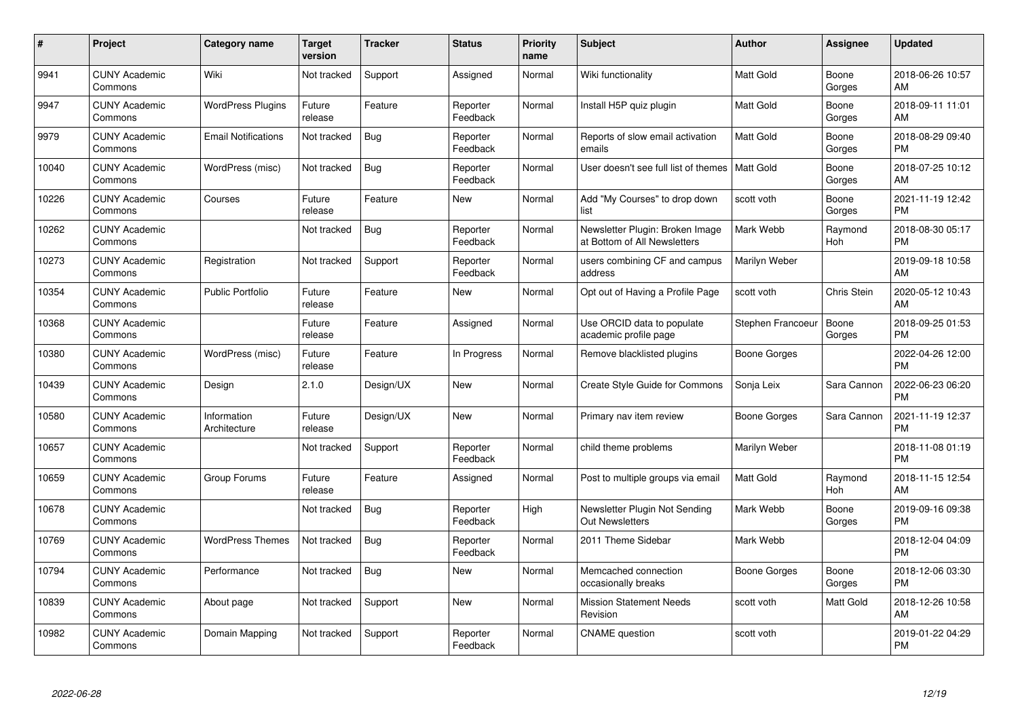| #     | Project                         | <b>Category name</b>        | Target<br>version | <b>Tracker</b> | <b>Status</b>        | <b>Priority</b><br>name | <b>Subject</b>                                                  | <b>Author</b>       | <b>Assignee</b>       | <b>Updated</b>                |
|-------|---------------------------------|-----------------------------|-------------------|----------------|----------------------|-------------------------|-----------------------------------------------------------------|---------------------|-----------------------|-------------------------------|
| 9941  | <b>CUNY Academic</b><br>Commons | Wiki                        | Not tracked       | Support        | Assigned             | Normal                  | Wiki functionality                                              | <b>Matt Gold</b>    | Boone<br>Gorges       | 2018-06-26 10:57<br>AM        |
| 9947  | <b>CUNY Academic</b><br>Commons | <b>WordPress Plugins</b>    | Future<br>release | Feature        | Reporter<br>Feedback | Normal                  | Install H5P quiz plugin                                         | Matt Gold           | Boone<br>Gorges       | 2018-09-11 11:01<br>AM        |
| 9979  | <b>CUNY Academic</b><br>Commons | <b>Email Notifications</b>  | Not tracked       | <b>Bug</b>     | Reporter<br>Feedback | Normal                  | Reports of slow email activation<br>emails                      | Matt Gold           | Boone<br>Gorges       | 2018-08-29 09:40<br><b>PM</b> |
| 10040 | <b>CUNY Academic</b><br>Commons | WordPress (misc)            | Not tracked       | <b>Bug</b>     | Reporter<br>Feedback | Normal                  | User doesn't see full list of themes                            | <b>Matt Gold</b>    | Boone<br>Gorges       | 2018-07-25 10:12<br>AM        |
| 10226 | <b>CUNY Academic</b><br>Commons | Courses                     | Future<br>release | Feature        | <b>New</b>           | Normal                  | Add "My Courses" to drop down<br>list                           | scott voth          | Boone<br>Gorges       | 2021-11-19 12:42<br><b>PM</b> |
| 10262 | <b>CUNY Academic</b><br>Commons |                             | Not tracked       | Bug            | Reporter<br>Feedback | Normal                  | Newsletter Plugin: Broken Image<br>at Bottom of All Newsletters | Mark Webb           | Raymond<br><b>Hoh</b> | 2018-08-30 05:17<br><b>PM</b> |
| 10273 | <b>CUNY Academic</b><br>Commons | Registration                | Not tracked       | Support        | Reporter<br>Feedback | Normal                  | users combining CF and campus<br>address                        | Marilyn Weber       |                       | 2019-09-18 10:58<br>AM        |
| 10354 | <b>CUNY Academic</b><br>Commons | <b>Public Portfolio</b>     | Future<br>release | Feature        | <b>New</b>           | Normal                  | Opt out of Having a Profile Page                                | scott voth          | Chris Stein           | 2020-05-12 10:43<br>AM        |
| 10368 | <b>CUNY Academic</b><br>Commons |                             | Future<br>release | Feature        | Assigned             | Normal                  | Use ORCID data to populate<br>academic profile page             | Stephen Francoeur   | Boone<br>Gorges       | 2018-09-25 01:53<br><b>PM</b> |
| 10380 | <b>CUNY Academic</b><br>Commons | WordPress (misc)            | Future<br>release | Feature        | In Progress          | Normal                  | Remove blacklisted plugins                                      | <b>Boone Gorges</b> |                       | 2022-04-26 12:00<br><b>PM</b> |
| 10439 | <b>CUNY Academic</b><br>Commons | Design                      | 2.1.0             | Design/UX      | New                  | Normal                  | <b>Create Style Guide for Commons</b>                           | Sonja Leix          | Sara Cannon           | 2022-06-23 06:20<br><b>PM</b> |
| 10580 | <b>CUNY Academic</b><br>Commons | Information<br>Architecture | Future<br>release | Design/UX      | <b>New</b>           | Normal                  | Primary nav item review                                         | Boone Gorges        | Sara Cannon           | 2021-11-19 12:37<br><b>PM</b> |
| 10657 | <b>CUNY Academic</b><br>Commons |                             | Not tracked       | Support        | Reporter<br>Feedback | Normal                  | child theme problems                                            | Marilyn Weber       |                       | 2018-11-08 01:19<br><b>PM</b> |
| 10659 | <b>CUNY Academic</b><br>Commons | Group Forums                | Future<br>release | Feature        | Assigned             | Normal                  | Post to multiple groups via email                               | <b>Matt Gold</b>    | Raymond<br>Hoh        | 2018-11-15 12:54<br>AM        |
| 10678 | <b>CUNY Academic</b><br>Commons |                             | Not tracked       | Bug            | Reporter<br>Feedback | High                    | Newsletter Plugin Not Sending<br><b>Out Newsletters</b>         | Mark Webb           | Boone<br>Gorges       | 2019-09-16 09:38<br><b>PM</b> |
| 10769 | <b>CUNY Academic</b><br>Commons | <b>WordPress Themes</b>     | Not tracked       | <b>Bug</b>     | Reporter<br>Feedback | Normal                  | 2011 Theme Sidebar                                              | Mark Webb           |                       | 2018-12-04 04:09<br><b>PM</b> |
| 10794 | <b>CUNY Academic</b><br>Commons | Performance                 | Not tracked       | Bug            | New                  | Normal                  | Memcached connection<br>occasionally breaks                     | Boone Gorges        | Boone<br>Gorges       | 2018-12-06 03:30<br><b>PM</b> |
| 10839 | <b>CUNY Academic</b><br>Commons | About page                  | Not tracked       | Support        | <b>New</b>           | Normal                  | <b>Mission Statement Needs</b><br>Revision                      | scott voth          | Matt Gold             | 2018-12-26 10:58<br>AM        |
| 10982 | <b>CUNY Academic</b><br>Commons | Domain Mapping              | Not tracked       | Support        | Reporter<br>Feedback | Normal                  | <b>CNAME</b> question                                           | scott voth          |                       | 2019-01-22 04:29<br><b>PM</b> |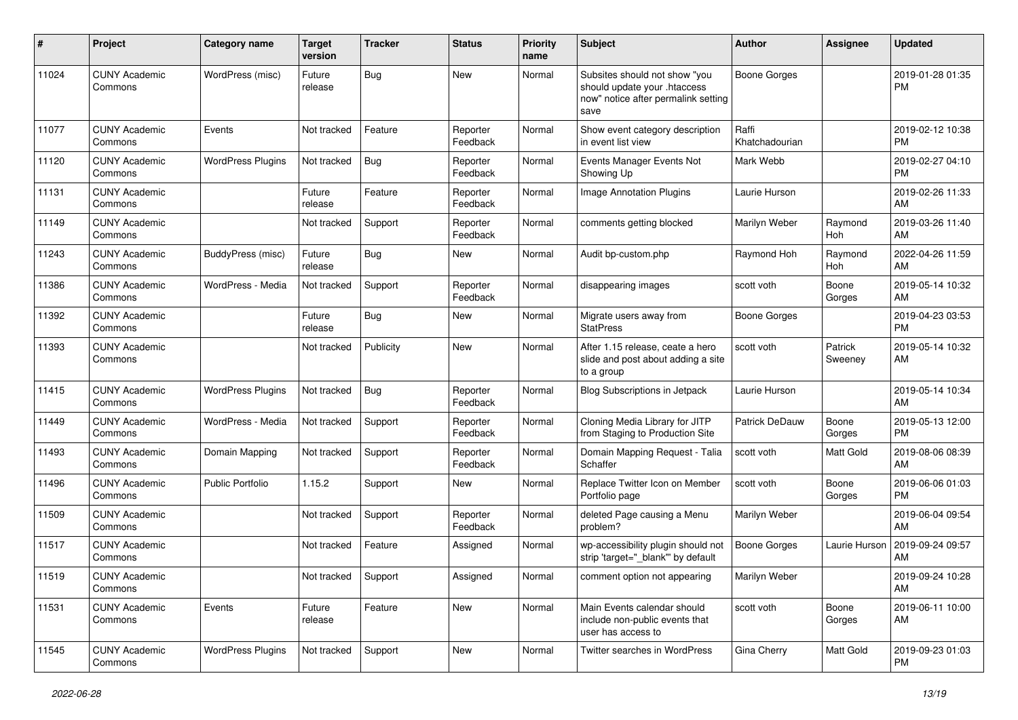| #     | Project                         | <b>Category name</b>     | <b>Target</b><br>version | <b>Tracker</b> | <b>Status</b>        | <b>Priority</b><br>name | <b>Subject</b>                                                                                               | <b>Author</b>           | <b>Assignee</b>    | <b>Updated</b>                |
|-------|---------------------------------|--------------------------|--------------------------|----------------|----------------------|-------------------------|--------------------------------------------------------------------------------------------------------------|-------------------------|--------------------|-------------------------------|
| 11024 | <b>CUNY Academic</b><br>Commons | WordPress (misc)         | Future<br>release        | <b>Bug</b>     | <b>New</b>           | Normal                  | Subsites should not show "you<br>should update your .htaccess<br>now" notice after permalink setting<br>save | <b>Boone Gorges</b>     |                    | 2019-01-28 01:35<br>РM        |
| 11077 | <b>CUNY Academic</b><br>Commons | Events                   | Not tracked              | Feature        | Reporter<br>Feedback | Normal                  | Show event category description<br>in event list view                                                        | Raffi<br>Khatchadourian |                    | 2019-02-12 10:38<br><b>PM</b> |
| 11120 | <b>CUNY Academic</b><br>Commons | <b>WordPress Plugins</b> | Not tracked              | <b>Bug</b>     | Reporter<br>Feedback | Normal                  | Events Manager Events Not<br>Showing Up                                                                      | Mark Webb               |                    | 2019-02-27 04:10<br><b>PM</b> |
| 11131 | <b>CUNY Academic</b><br>Commons |                          | Future<br>release        | Feature        | Reporter<br>Feedback | Normal                  | <b>Image Annotation Plugins</b>                                                                              | Laurie Hurson           |                    | 2019-02-26 11:33<br>AM        |
| 11149 | <b>CUNY Academic</b><br>Commons |                          | Not tracked              | Support        | Reporter<br>Feedback | Normal                  | comments getting blocked                                                                                     | Marilyn Weber           | Raymond<br>Hoh     | 2019-03-26 11:40<br>AM        |
| 11243 | <b>CUNY Academic</b><br>Commons | BuddyPress (misc)        | Future<br>release        | <b>Bug</b>     | New                  | Normal                  | Audit bp-custom.php                                                                                          | Raymond Hoh             | Raymond<br>Hoh     | 2022-04-26 11:59<br>AM        |
| 11386 | <b>CUNY Academic</b><br>Commons | WordPress - Media        | Not tracked              | Support        | Reporter<br>Feedback | Normal                  | disappearing images                                                                                          | scott voth              | Boone<br>Gorges    | 2019-05-14 10:32<br>AM        |
| 11392 | <b>CUNY Academic</b><br>Commons |                          | Future<br>release        | <b>Bug</b>     | New                  | Normal                  | Migrate users away from<br><b>StatPress</b>                                                                  | <b>Boone Gorges</b>     |                    | 2019-04-23 03:53<br><b>PM</b> |
| 11393 | <b>CUNY Academic</b><br>Commons |                          | Not tracked              | Publicity      | New                  | Normal                  | After 1.15 release, ceate a hero<br>slide and post about adding a site<br>to a group                         | scott voth              | Patrick<br>Sweeney | 2019-05-14 10:32<br>AM        |
| 11415 | <b>CUNY Academic</b><br>Commons | <b>WordPress Plugins</b> | Not tracked              | <b>Bug</b>     | Reporter<br>Feedback | Normal                  | <b>Blog Subscriptions in Jetpack</b>                                                                         | Laurie Hurson           |                    | 2019-05-14 10:34<br>AM        |
| 11449 | <b>CUNY Academic</b><br>Commons | WordPress - Media        | Not tracked              | Support        | Reporter<br>Feedback | Normal                  | Cloning Media Library for JITP<br>from Staging to Production Site                                            | <b>Patrick DeDauw</b>   | Boone<br>Gorges    | 2019-05-13 12:00<br><b>PM</b> |
| 11493 | <b>CUNY Academic</b><br>Commons | Domain Mapping           | Not tracked              | Support        | Reporter<br>Feedback | Normal                  | Domain Mapping Request - Talia<br>Schaffer                                                                   | scott voth              | <b>Matt Gold</b>   | 2019-08-06 08:39<br>AM        |
| 11496 | <b>CUNY Academic</b><br>Commons | <b>Public Portfolio</b>  | 1.15.2                   | Support        | New                  | Normal                  | Replace Twitter Icon on Member<br>Portfolio page                                                             | scott voth              | Boone<br>Gorges    | 2019-06-06 01:03<br><b>PM</b> |
| 11509 | <b>CUNY Academic</b><br>Commons |                          | Not tracked              | Support        | Reporter<br>Feedback | Normal                  | deleted Page causing a Menu<br>problem?                                                                      | Marilyn Weber           |                    | 2019-06-04 09:54<br>AM        |
| 11517 | <b>CUNY Academic</b><br>Commons |                          | Not tracked              | Feature        | Assigned             | Normal                  | wp-accessibility plugin should not<br>strip 'target="_blank" by default                                      | Boone Gorges            | Laurie Hurson      | 2019-09-24 09:57<br>AM        |
| 11519 | <b>CUNY Academic</b><br>Commons |                          | Not tracked Support      |                | Assigned             | Normal                  | comment option not appearing                                                                                 | Marilyn Weber           |                    | 2019-09-24 10:28<br>AM        |
| 11531 | <b>CUNY Academic</b><br>Commons | Events                   | Future<br>release        | Feature        | New                  | Normal                  | Main Events calendar should<br>include non-public events that<br>user has access to                          | scott voth              | Boone<br>Gorges    | 2019-06-11 10:00<br>AM        |
| 11545 | <b>CUNY Academic</b><br>Commons | <b>WordPress Plugins</b> | Not tracked              | Support        | New                  | Normal                  | Twitter searches in WordPress                                                                                | Gina Cherry             | Matt Gold          | 2019-09-23 01:03<br>PM        |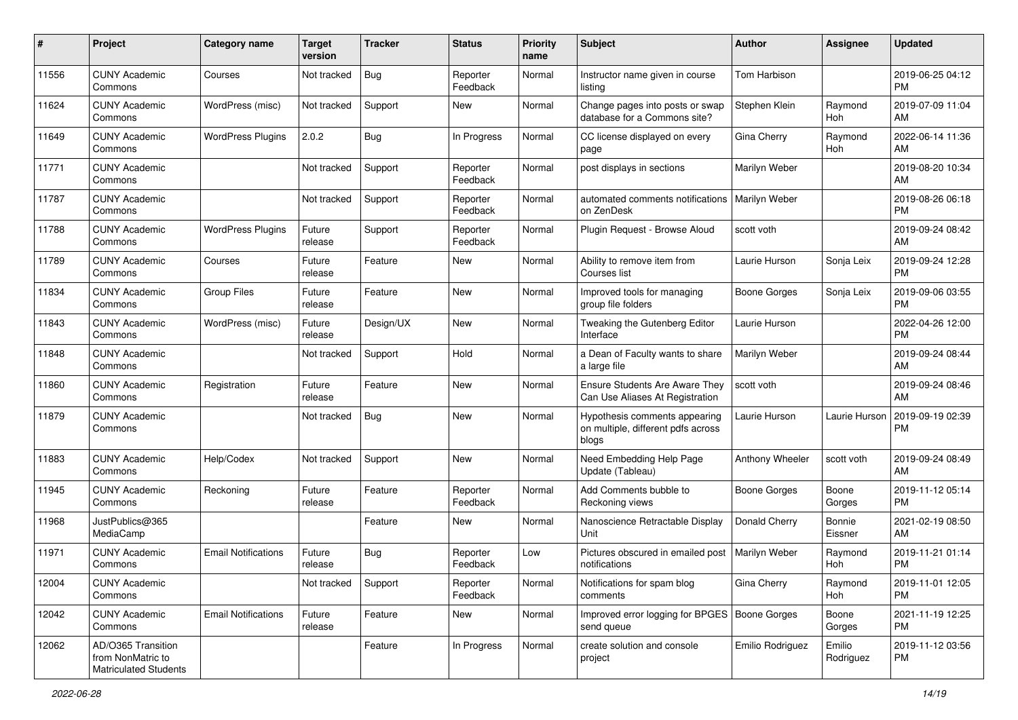| #     | Project                                                                 | <b>Category name</b>       | <b>Target</b><br>version | <b>Tracker</b> | <b>Status</b>        | Priority<br>name | <b>Subject</b>                                                               | <b>Author</b>       | <b>Assignee</b>     | <b>Updated</b>                |
|-------|-------------------------------------------------------------------------|----------------------------|--------------------------|----------------|----------------------|------------------|------------------------------------------------------------------------------|---------------------|---------------------|-------------------------------|
| 11556 | <b>CUNY Academic</b><br>Commons                                         | Courses                    | Not tracked              | <b>Bug</b>     | Reporter<br>Feedback | Normal           | Instructor name given in course<br>listing                                   | <b>Tom Harbison</b> |                     | 2019-06-25 04:12<br><b>PM</b> |
| 11624 | <b>CUNY Academic</b><br>Commons                                         | WordPress (misc)           | Not tracked              | Support        | <b>New</b>           | Normal           | Change pages into posts or swap<br>database for a Commons site?              | Stephen Klein       | Raymond<br>Hoh      | 2019-07-09 11:04<br>AM        |
| 11649 | <b>CUNY Academic</b><br>Commons                                         | <b>WordPress Plugins</b>   | 2.0.2                    | <b>Bug</b>     | In Progress          | Normal           | CC license displayed on every<br>page                                        | Gina Cherry         | Raymond<br>Hoh      | 2022-06-14 11:36<br>AM        |
| 11771 | <b>CUNY Academic</b><br>Commons                                         |                            | Not tracked              | Support        | Reporter<br>Feedback | Normal           | post displays in sections                                                    | Marilyn Weber       |                     | 2019-08-20 10:34<br>AM        |
| 11787 | <b>CUNY Academic</b><br>Commons                                         |                            | Not tracked              | Support        | Reporter<br>Feedback | Normal           | automated comments notifications<br>on ZenDesk                               | Marilyn Weber       |                     | 2019-08-26 06:18<br><b>PM</b> |
| 11788 | <b>CUNY Academic</b><br>Commons                                         | <b>WordPress Plugins</b>   | Future<br>release        | Support        | Reporter<br>Feedback | Normal           | Plugin Request - Browse Aloud                                                | scott voth          |                     | 2019-09-24 08:42<br>AM        |
| 11789 | <b>CUNY Academic</b><br>Commons                                         | Courses                    | Future<br>release        | Feature        | <b>New</b>           | Normal           | Ability to remove item from<br>Courses list                                  | Laurie Hurson       | Sonja Leix          | 2019-09-24 12:28<br><b>PM</b> |
| 11834 | <b>CUNY Academic</b><br>Commons                                         | <b>Group Files</b>         | Future<br>release        | Feature        | <b>New</b>           | Normal           | Improved tools for managing<br>group file folders                            | <b>Boone Gorges</b> | Sonja Leix          | 2019-09-06 03:55<br><b>PM</b> |
| 11843 | <b>CUNY Academic</b><br>Commons                                         | WordPress (misc)           | Future<br>release        | Design/UX      | <b>New</b>           | Normal           | Tweaking the Gutenberg Editor<br>Interface                                   | Laurie Hurson       |                     | 2022-04-26 12:00<br><b>PM</b> |
| 11848 | <b>CUNY Academic</b><br>Commons                                         |                            | Not tracked              | Support        | Hold                 | Normal           | a Dean of Faculty wants to share<br>a large file                             | Marilyn Weber       |                     | 2019-09-24 08:44<br>AM        |
| 11860 | <b>CUNY Academic</b><br>Commons                                         | Registration               | Future<br>release        | Feature        | <b>New</b>           | Normal           | Ensure Students Are Aware They<br>Can Use Aliases At Registration            | scott voth          |                     | 2019-09-24 08:46<br>AM        |
| 11879 | <b>CUNY Academic</b><br>Commons                                         |                            | Not tracked              | <b>Bug</b>     | <b>New</b>           | Normal           | Hypothesis comments appearing<br>on multiple, different pdfs across<br>blogs | Laurie Hurson       | Laurie Hurson       | 2019-09-19 02:39<br><b>PM</b> |
| 11883 | <b>CUNY Academic</b><br>Commons                                         | Help/Codex                 | Not tracked              | Support        | <b>New</b>           | Normal           | Need Embedding Help Page<br>Update (Tableau)                                 | Anthony Wheeler     | scott voth          | 2019-09-24 08:49<br>AM        |
| 11945 | <b>CUNY Academic</b><br>Commons                                         | Reckoning                  | Future<br>release        | Feature        | Reporter<br>Feedback | Normal           | Add Comments bubble to<br>Reckoning views                                    | <b>Boone Gorges</b> | Boone<br>Gorges     | 2019-11-12 05:14<br><b>PM</b> |
| 11968 | JustPublics@365<br>MediaCamp                                            |                            |                          | Feature        | <b>New</b>           | Normal           | Nanoscience Retractable Display<br>Unit                                      | Donald Cherry       | Bonnie<br>Eissner   | 2021-02-19 08:50<br>AM        |
| 11971 | <b>CUNY Academic</b><br>Commons                                         | <b>Email Notifications</b> | Future<br>release        | <b>Bug</b>     | Reporter<br>Feedback | Low              | Pictures obscured in emailed post<br>notifications                           | Marilyn Weber       | Raymond<br>Hoh      | 2019-11-21 01:14<br><b>PM</b> |
| 12004 | <b>CUNY Academic</b><br>Commons                                         |                            | Not tracked              | Support        | Reporter<br>Feedback | Normal           | Notifications for spam blog<br>comments                                      | Gina Cherry         | Raymond<br>Hoh      | 2019-11-01 12:05<br><b>PM</b> |
| 12042 | <b>CUNY Academic</b><br>Commons                                         | <b>Email Notifications</b> | Future<br>release        | Feature        | New                  | Normal           | Improved error logging for BPGES   Boone Gorges<br>send queue                |                     | Boone<br>Gorges     | 2021-11-19 12:25<br><b>PM</b> |
| 12062 | AD/O365 Transition<br>from NonMatric to<br><b>Matriculated Students</b> |                            |                          | Feature        | In Progress          | Normal           | create solution and console<br>project                                       | Emilio Rodriguez    | Emilio<br>Rodriguez | 2019-11-12 03:56<br>PM        |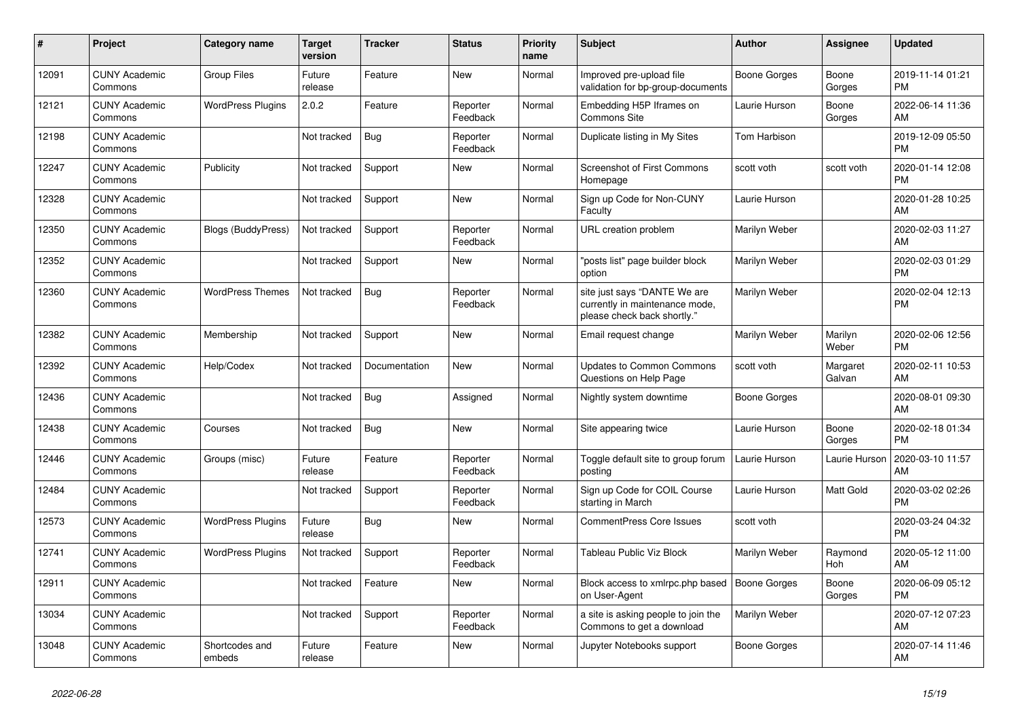| #     | Project                         | <b>Category name</b>      | <b>Target</b><br>version | <b>Tracker</b> | <b>Status</b>        | Priority<br>name | <b>Subject</b>                                                                                | <b>Author</b>       | <b>Assignee</b>       | <b>Updated</b>                |
|-------|---------------------------------|---------------------------|--------------------------|----------------|----------------------|------------------|-----------------------------------------------------------------------------------------------|---------------------|-----------------------|-------------------------------|
| 12091 | <b>CUNY Academic</b><br>Commons | <b>Group Files</b>        | Future<br>release        | Feature        | <b>New</b>           | Normal           | Improved pre-upload file<br>validation for bp-group-documents                                 | <b>Boone Gorges</b> | Boone<br>Gorges       | 2019-11-14 01:21<br><b>PM</b> |
| 12121 | <b>CUNY Academic</b><br>Commons | <b>WordPress Plugins</b>  | 2.0.2                    | Feature        | Reporter<br>Feedback | Normal           | Embedding H5P Iframes on<br><b>Commons Site</b>                                               | Laurie Hurson       | Boone<br>Gorges       | 2022-06-14 11:36<br>AM        |
| 12198 | <b>CUNY Academic</b><br>Commons |                           | Not tracked              | <b>Bug</b>     | Reporter<br>Feedback | Normal           | Duplicate listing in My Sites                                                                 | Tom Harbison        |                       | 2019-12-09 05:50<br><b>PM</b> |
| 12247 | <b>CUNY Academic</b><br>Commons | Publicity                 | Not tracked              | Support        | New                  | Normal           | <b>Screenshot of First Commons</b><br>Homepage                                                | scott voth          | scott voth            | 2020-01-14 12:08<br><b>PM</b> |
| 12328 | <b>CUNY Academic</b><br>Commons |                           | Not tracked              | Support        | New                  | Normal           | Sign up Code for Non-CUNY<br>Faculty                                                          | Laurie Hurson       |                       | 2020-01-28 10:25<br>AM        |
| 12350 | <b>CUNY Academic</b><br>Commons | <b>Blogs (BuddyPress)</b> | Not tracked              | Support        | Reporter<br>Feedback | Normal           | URL creation problem                                                                          | Marilyn Weber       |                       | 2020-02-03 11:27<br>AM        |
| 12352 | <b>CUNY Academic</b><br>Commons |                           | Not tracked              | Support        | <b>New</b>           | Normal           | "posts list" page builder block<br>option                                                     | Marilyn Weber       |                       | 2020-02-03 01:29<br>PM        |
| 12360 | <b>CUNY Academic</b><br>Commons | <b>WordPress Themes</b>   | Not tracked              | Bug            | Reporter<br>Feedback | Normal           | site just says "DANTE We are<br>currently in maintenance mode,<br>please check back shortly." | Marilyn Weber       |                       | 2020-02-04 12:13<br><b>PM</b> |
| 12382 | <b>CUNY Academic</b><br>Commons | Membership                | Not tracked              | Support        | <b>New</b>           | Normal           | Email request change                                                                          | Marilyn Weber       | Marilyn<br>Weber      | 2020-02-06 12:56<br><b>PM</b> |
| 12392 | <b>CUNY Academic</b><br>Commons | Help/Codex                | Not tracked              | Documentation  | <b>New</b>           | Normal           | <b>Updates to Common Commons</b><br>Questions on Help Page                                    | scott voth          | Margaret<br>Galvan    | 2020-02-11 10:53<br>AM        |
| 12436 | <b>CUNY Academic</b><br>Commons |                           | Not tracked              | Bug            | Assigned             | Normal           | Nightly system downtime                                                                       | <b>Boone Gorges</b> |                       | 2020-08-01 09:30<br>AM        |
| 12438 | <b>CUNY Academic</b><br>Commons | Courses                   | Not tracked              | <b>Bug</b>     | <b>New</b>           | Normal           | Site appearing twice                                                                          | Laurie Hurson       | Boone<br>Gorges       | 2020-02-18 01:34<br><b>PM</b> |
| 12446 | <b>CUNY Academic</b><br>Commons | Groups (misc)             | Future<br>release        | Feature        | Reporter<br>Feedback | Normal           | Toggle default site to group forum<br>posting                                                 | Laurie Hurson       | Laurie Hurson         | 2020-03-10 11:57<br>AM        |
| 12484 | <b>CUNY Academic</b><br>Commons |                           | Not tracked              | Support        | Reporter<br>Feedback | Normal           | Sign up Code for COIL Course<br>starting in March                                             | Laurie Hurson       | Matt Gold             | 2020-03-02 02:26<br><b>PM</b> |
| 12573 | <b>CUNY Academic</b><br>Commons | <b>WordPress Plugins</b>  | Future<br>release        | <b>Bug</b>     | New                  | Normal           | CommentPress Core Issues                                                                      | scott voth          |                       | 2020-03-24 04:32<br><b>PM</b> |
| 12741 | <b>CUNY Academic</b><br>Commons | <b>WordPress Plugins</b>  | Not tracked              | Support        | Reporter<br>Feedback | Normal           | Tableau Public Viz Block                                                                      | Marilyn Weber       | Raymond<br><b>Hoh</b> | 2020-05-12 11:00<br>AM        |
| 12911 | <b>CUNY Academic</b><br>Commons |                           | Not tracked              | Feature        | <b>New</b>           | Normal           | Block access to xmlrpc.php based<br>on User-Agent                                             | <b>Boone Gorges</b> | Boone<br>Gorges       | 2020-06-09 05:12<br><b>PM</b> |
| 13034 | <b>CUNY Academic</b><br>Commons |                           | Not tracked              | Support        | Reporter<br>Feedback | Normal           | a site is asking people to join the<br>Commons to get a download                              | Marilyn Weber       |                       | 2020-07-12 07:23<br>AM        |
| 13048 | <b>CUNY Academic</b><br>Commons | Shortcodes and<br>embeds  | Future<br>release        | Feature        | <b>New</b>           | Normal           | Jupyter Notebooks support                                                                     | <b>Boone Gorges</b> |                       | 2020-07-14 11:46<br>AM        |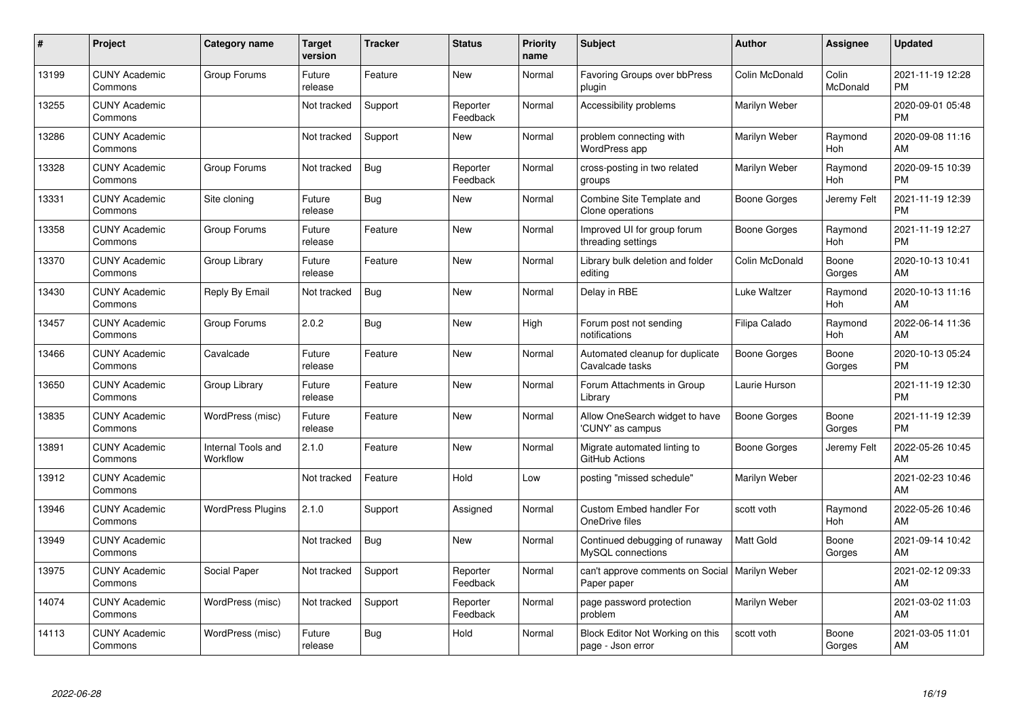| #     | Project                         | <b>Category name</b>           | Target<br>version | <b>Tracker</b> | <b>Status</b>        | <b>Priority</b><br>name | <b>Subject</b>                                                  | <b>Author</b>       | <b>Assignee</b>       | <b>Updated</b>                |
|-------|---------------------------------|--------------------------------|-------------------|----------------|----------------------|-------------------------|-----------------------------------------------------------------|---------------------|-----------------------|-------------------------------|
| 13199 | <b>CUNY Academic</b><br>Commons | Group Forums                   | Future<br>release | Feature        | <b>New</b>           | Normal                  | <b>Favoring Groups over bbPress</b><br>plugin                   | Colin McDonald      | Colin<br>McDonald     | 2021-11-19 12:28<br>PM        |
| 13255 | <b>CUNY Academic</b><br>Commons |                                | Not tracked       | Support        | Reporter<br>Feedback | Normal                  | Accessibility problems                                          | Marilyn Weber       |                       | 2020-09-01 05:48<br><b>PM</b> |
| 13286 | <b>CUNY Academic</b><br>Commons |                                | Not tracked       | Support        | <b>New</b>           | Normal                  | problem connecting with<br>WordPress app                        | Marilyn Weber       | Raymond<br>Hoh        | 2020-09-08 11:16<br>AM        |
| 13328 | <b>CUNY Academic</b><br>Commons | Group Forums                   | Not tracked       | Bug            | Reporter<br>Feedback | Normal                  | cross-posting in two related<br>groups                          | Marilyn Weber       | Raymond<br><b>Hoh</b> | 2020-09-15 10:39<br><b>PM</b> |
| 13331 | <b>CUNY Academic</b><br>Commons | Site cloning                   | Future<br>release | Bug            | <b>New</b>           | Normal                  | Combine Site Template and<br>Clone operations                   | Boone Gorges        | Jeremy Felt           | 2021-11-19 12:39<br><b>PM</b> |
| 13358 | <b>CUNY Academic</b><br>Commons | Group Forums                   | Future<br>release | Feature        | <b>New</b>           | Normal                  | Improved UI for group forum<br>threading settings               | <b>Boone Gorges</b> | Raymond<br><b>Hoh</b> | 2021-11-19 12:27<br><b>PM</b> |
| 13370 | <b>CUNY Academic</b><br>Commons | Group Library                  | Future<br>release | Feature        | New                  | Normal                  | Library bulk deletion and folder<br>editing                     | Colin McDonald      | Boone<br>Gorges       | 2020-10-13 10:41<br>AM        |
| 13430 | <b>CUNY Academic</b><br>Commons | Reply By Email                 | Not tracked       | <b>Bug</b>     | <b>New</b>           | Normal                  | Delay in RBE                                                    | Luke Waltzer        | Raymond<br>Hoh        | 2020-10-13 11:16<br>AM        |
| 13457 | <b>CUNY Academic</b><br>Commons | Group Forums                   | 2.0.2             | Bug            | New                  | High                    | Forum post not sending<br>notifications                         | Filipa Calado       | Raymond<br><b>Hoh</b> | 2022-06-14 11:36<br>AM        |
| 13466 | <b>CUNY Academic</b><br>Commons | Cavalcade                      | Future<br>release | Feature        | <b>New</b>           | Normal                  | Automated cleanup for duplicate<br>Cavalcade tasks              | Boone Gorges        | Boone<br>Gorges       | 2020-10-13 05:24<br><b>PM</b> |
| 13650 | <b>CUNY Academic</b><br>Commons | Group Library                  | Future<br>release | Feature        | <b>New</b>           | Normal                  | Forum Attachments in Group<br>Library                           | Laurie Hurson       |                       | 2021-11-19 12:30<br><b>PM</b> |
| 13835 | <b>CUNY Academic</b><br>Commons | WordPress (misc)               | Future<br>release | Feature        | <b>New</b>           | Normal                  | Allow OneSearch widget to have<br>'CUNY' as campus              | Boone Gorges        | Boone<br>Gorges       | 2021-11-19 12:39<br><b>PM</b> |
| 13891 | <b>CUNY Academic</b><br>Commons | Internal Tools and<br>Workflow | 2.1.0             | Feature        | <b>New</b>           | Normal                  | Migrate automated linting to<br>GitHub Actions                  | <b>Boone Gorges</b> | Jeremy Felt           | 2022-05-26 10:45<br>AM        |
| 13912 | <b>CUNY Academic</b><br>Commons |                                | Not tracked       | Feature        | Hold                 | Low                     | posting "missed schedule"                                       | Marilyn Weber       |                       | 2021-02-23 10:46<br>AM        |
| 13946 | <b>CUNY Academic</b><br>Commons | <b>WordPress Plugins</b>       | 2.1.0             | Support        | Assigned             | Normal                  | <b>Custom Embed handler For</b><br>OneDrive files               | scott voth          | Raymond<br>Hoh        | 2022-05-26 10:46<br>AM        |
| 13949 | <b>CUNY Academic</b><br>Commons |                                | Not tracked       | Bug            | <b>New</b>           | Normal                  | Continued debugging of runaway<br>MySQL connections             | <b>Matt Gold</b>    | Boone<br>Gorges       | 2021-09-14 10:42<br>AM        |
| 13975 | <b>CUNY Academic</b><br>Commons | Social Paper                   | Not tracked       | Support        | Reporter<br>Feedback | Normal                  | can't approve comments on Social   Marilyn Weber<br>Paper paper |                     |                       | 2021-02-12 09:33<br>AM        |
| 14074 | <b>CUNY Academic</b><br>Commons | WordPress (misc)               | Not tracked       | Support        | Reporter<br>Feedback | Normal                  | page password protection<br>problem                             | Marilyn Weber       |                       | 2021-03-02 11:03<br>AM        |
| 14113 | <b>CUNY Academic</b><br>Commons | WordPress (misc)               | Future<br>release | Bug            | Hold                 | Normal                  | Block Editor Not Working on this<br>page - Json error           | scott voth          | Boone<br>Gorges       | 2021-03-05 11:01<br>AM        |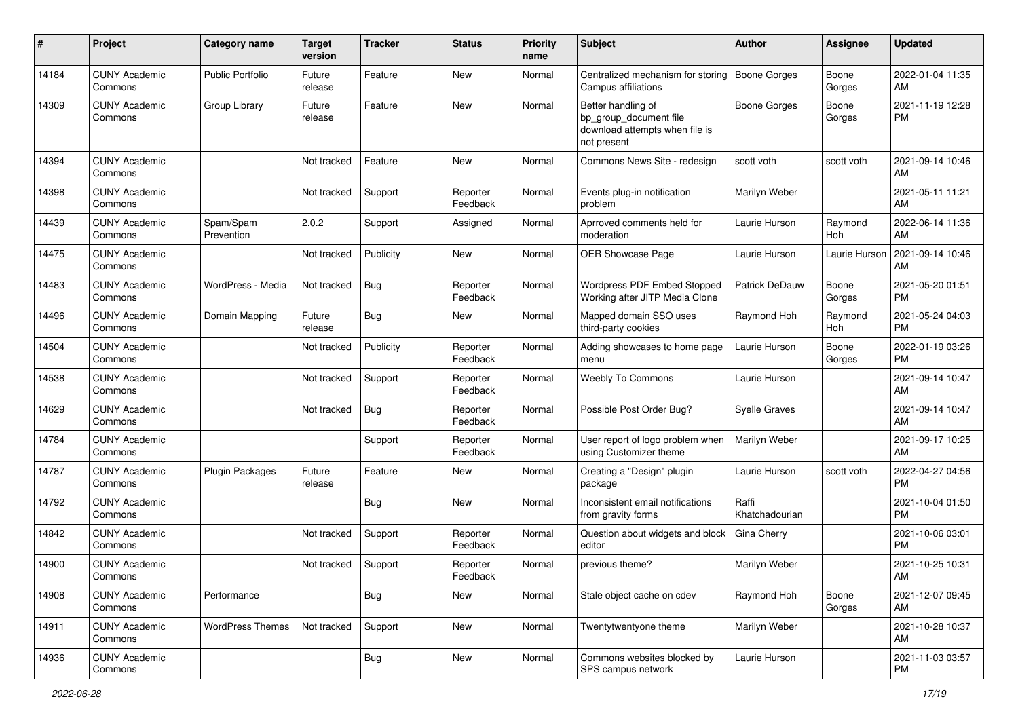| ∦     | Project                         | <b>Category name</b>    | <b>Target</b><br>version | <b>Tracker</b> | <b>Status</b>        | <b>Priority</b><br>name | Subject                                                                                       | Author                  | Assignee        | <b>Updated</b>                |
|-------|---------------------------------|-------------------------|--------------------------|----------------|----------------------|-------------------------|-----------------------------------------------------------------------------------------------|-------------------------|-----------------|-------------------------------|
| 14184 | <b>CUNY Academic</b><br>Commons | Public Portfolio        | Future<br>release        | Feature        | New                  | Normal                  | Centralized mechanism for storing<br>Campus affiliations                                      | <b>Boone Gorges</b>     | Boone<br>Gorges | 2022-01-04 11:35<br>AM        |
| 14309 | <b>CUNY Academic</b><br>Commons | Group Library           | Future<br>release        | Feature        | New                  | Normal                  | Better handling of<br>bp_group_document file<br>download attempts when file is<br>not present | <b>Boone Gorges</b>     | Boone<br>Gorges | 2021-11-19 12:28<br><b>PM</b> |
| 14394 | <b>CUNY Academic</b><br>Commons |                         | Not tracked              | Feature        | <b>New</b>           | Normal                  | Commons News Site - redesign                                                                  | scott voth              | scott voth      | 2021-09-14 10:46<br>AM        |
| 14398 | <b>CUNY Academic</b><br>Commons |                         | Not tracked              | Support        | Reporter<br>Feedback | Normal                  | Events plug-in notification<br>problem                                                        | Marilyn Weber           |                 | 2021-05-11 11:21<br>AM        |
| 14439 | <b>CUNY Academic</b><br>Commons | Spam/Spam<br>Prevention | 2.0.2                    | Support        | Assigned             | Normal                  | Aprroved comments held for<br>moderation                                                      | Laurie Hurson           | Raymond<br>Hoh  | 2022-06-14 11:36<br>AM        |
| 14475 | <b>CUNY Academic</b><br>Commons |                         | Not tracked              | Publicity      | <b>New</b>           | Normal                  | OER Showcase Page                                                                             | Laurie Hurson           | Laurie Hurson   | 2021-09-14 10:46<br>AM        |
| 14483 | <b>CUNY Academic</b><br>Commons | WordPress - Media       | Not tracked              | <b>Bug</b>     | Reporter<br>Feedback | Normal                  | <b>Wordpress PDF Embed Stopped</b><br>Working after JITP Media Clone                          | Patrick DeDauw          | Boone<br>Gorges | 2021-05-20 01:51<br><b>PM</b> |
| 14496 | <b>CUNY Academic</b><br>Commons | Domain Mapping          | Future<br>release        | <b>Bug</b>     | New                  | Normal                  | Mapped domain SSO uses<br>third-party cookies                                                 | Raymond Hoh             | Raymond<br>Hoh  | 2021-05-24 04:03<br><b>PM</b> |
| 14504 | <b>CUNY Academic</b><br>Commons |                         | Not tracked              | Publicity      | Reporter<br>Feedback | Normal                  | Adding showcases to home page<br>menu                                                         | Laurie Hurson           | Boone<br>Gorges | 2022-01-19 03:26<br><b>PM</b> |
| 14538 | <b>CUNY Academic</b><br>Commons |                         | Not tracked              | Support        | Reporter<br>Feedback | Normal                  | <b>Weebly To Commons</b>                                                                      | Laurie Hurson           |                 | 2021-09-14 10:47<br>AM        |
| 14629 | <b>CUNY Academic</b><br>Commons |                         | Not tracked              | <b>Bug</b>     | Reporter<br>Feedback | Normal                  | Possible Post Order Bug?                                                                      | <b>Syelle Graves</b>    |                 | 2021-09-14 10:47<br>AM        |
| 14784 | <b>CUNY Academic</b><br>Commons |                         |                          | Support        | Reporter<br>Feedback | Normal                  | User report of logo problem when<br>using Customizer theme                                    | Marilyn Weber           |                 | 2021-09-17 10:25<br>AM        |
| 14787 | <b>CUNY Academic</b><br>Commons | <b>Plugin Packages</b>  | Future<br>release        | Feature        | New                  | Normal                  | Creating a "Design" plugin<br>package                                                         | Laurie Hurson           | scott voth      | 2022-04-27 04:56<br><b>PM</b> |
| 14792 | <b>CUNY Academic</b><br>Commons |                         |                          | <b>Bug</b>     | New                  | Normal                  | Inconsistent email notifications<br>from gravity forms                                        | Raffi<br>Khatchadourian |                 | 2021-10-04 01:50<br><b>PM</b> |
| 14842 | <b>CUNY Academic</b><br>Commons |                         | Not tracked              | Support        | Reporter<br>Feedback | Normal                  | Question about widgets and block<br>editor                                                    | Gina Cherry             |                 | 2021-10-06 03:01<br><b>PM</b> |
| 14900 | <b>CUNY Academic</b><br>Commons |                         | Not tracked              | Support        | Reporter<br>Feedback | Normal                  | previous theme?                                                                               | Marilyn Weber           |                 | 2021-10-25 10:31<br>AM        |
| 14908 | <b>CUNY Academic</b><br>Commons | Performance             |                          | <b>Bug</b>     | New                  | Normal                  | Stale object cache on cdev                                                                    | Raymond Hoh             | Boone<br>Gorges | 2021-12-07 09:45<br>AM        |
| 14911 | <b>CUNY Academic</b><br>Commons | <b>WordPress Themes</b> | Not tracked              | Support        | New                  | Normal                  | Twentytwentyone theme                                                                         | Marilyn Weber           |                 | 2021-10-28 10:37<br>AM        |
| 14936 | <b>CUNY Academic</b><br>Commons |                         |                          | <b>Bug</b>     | New                  | Normal                  | Commons websites blocked by<br>SPS campus network                                             | Laurie Hurson           |                 | 2021-11-03 03:57<br><b>PM</b> |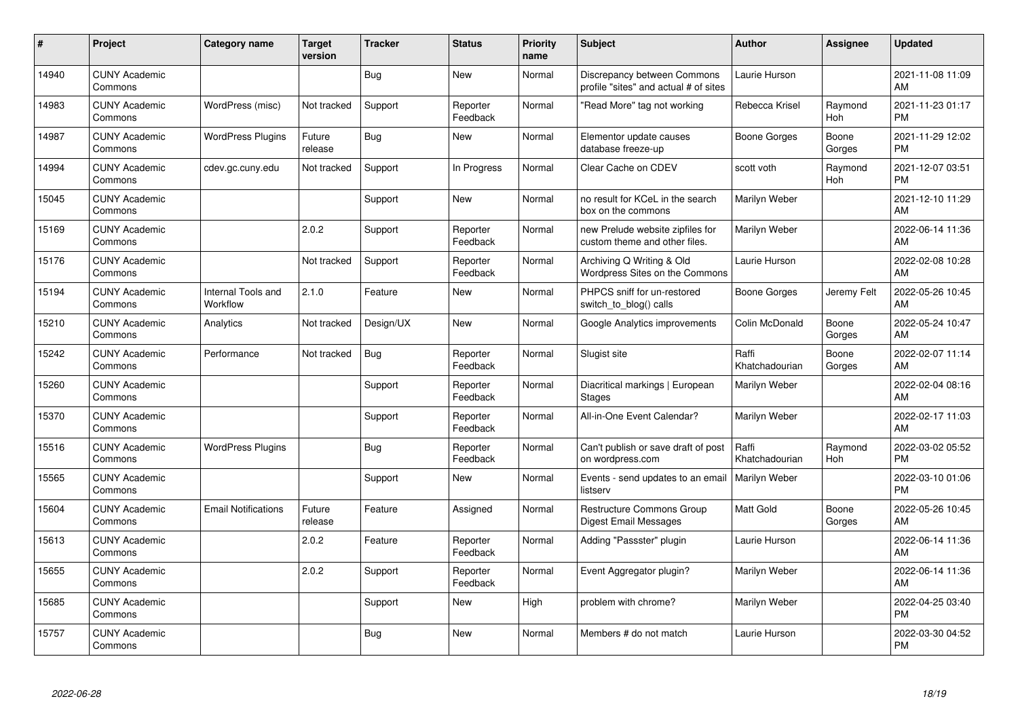| #     | <b>Project</b>                  | Category name                  | <b>Target</b><br>version | <b>Tracker</b> | <b>Status</b>        | <b>Priority</b><br>name | Subject                                                              | <b>Author</b>           | Assignee              | <b>Updated</b>                |
|-------|---------------------------------|--------------------------------|--------------------------|----------------|----------------------|-------------------------|----------------------------------------------------------------------|-------------------------|-----------------------|-------------------------------|
| 14940 | <b>CUNY Academic</b><br>Commons |                                |                          | Bug            | <b>New</b>           | Normal                  | Discrepancy between Commons<br>profile "sites" and actual # of sites | Laurie Hurson           |                       | 2021-11-08 11:09<br>AM        |
| 14983 | <b>CUNY Academic</b><br>Commons | WordPress (misc)               | Not tracked              | Support        | Reporter<br>Feedback | Normal                  | "Read More" tag not working                                          | Rebecca Krisel          | Raymond<br>Hoh        | 2021-11-23 01:17<br><b>PM</b> |
| 14987 | <b>CUNY Academic</b><br>Commons | <b>WordPress Plugins</b>       | Future<br>release        | <b>Bug</b>     | <b>New</b>           | Normal                  | Elementor update causes<br>database freeze-up                        | Boone Gorges            | Boone<br>Gorges       | 2021-11-29 12:02<br><b>PM</b> |
| 14994 | <b>CUNY Academic</b><br>Commons | cdev.gc.cuny.edu               | Not tracked              | Support        | In Progress          | Normal                  | Clear Cache on CDEV                                                  | scott voth              | Raymond<br>Hoh        | 2021-12-07 03:51<br><b>PM</b> |
| 15045 | <b>CUNY Academic</b><br>Commons |                                |                          | Support        | New                  | Normal                  | no result for KCeL in the search<br>box on the commons               | Marilyn Weber           |                       | 2021-12-10 11:29<br>AM        |
| 15169 | <b>CUNY Academic</b><br>Commons |                                | 2.0.2                    | Support        | Reporter<br>Feedback | Normal                  | new Prelude website zipfiles for<br>custom theme and other files.    | Marilyn Weber           |                       | 2022-06-14 11:36<br>AM        |
| 15176 | <b>CUNY Academic</b><br>Commons |                                | Not tracked              | Support        | Reporter<br>Feedback | Normal                  | Archiving Q Writing & Old<br>Wordpress Sites on the Commons          | Laurie Hurson           |                       | 2022-02-08 10:28<br>AM        |
| 15194 | <b>CUNY Academic</b><br>Commons | Internal Tools and<br>Workflow | 2.1.0                    | Feature        | <b>New</b>           | Normal                  | PHPCS sniff for un-restored<br>switch to blog() calls                | Boone Gorges            | Jeremy Felt           | 2022-05-26 10:45<br>AM        |
| 15210 | <b>CUNY Academic</b><br>Commons | Analytics                      | Not tracked              | Design/UX      | <b>New</b>           | Normal                  | Google Analytics improvements                                        | Colin McDonald          | Boone<br>Gorges       | 2022-05-24 10:47<br>AM        |
| 15242 | <b>CUNY Academic</b><br>Commons | Performance                    | Not tracked              | Bug            | Reporter<br>Feedback | Normal                  | Slugist site                                                         | Raffi<br>Khatchadourian | Boone<br>Gorges       | 2022-02-07 11:14<br>AM        |
| 15260 | <b>CUNY Academic</b><br>Commons |                                |                          | Support        | Reporter<br>Feedback | Normal                  | Diacritical markings   European<br><b>Stages</b>                     | Marilyn Weber           |                       | 2022-02-04 08:16<br>AM        |
| 15370 | <b>CUNY Academic</b><br>Commons |                                |                          | Support        | Reporter<br>Feedback | Normal                  | All-in-One Event Calendar?                                           | Marilyn Weber           |                       | 2022-02-17 11:03<br>AM        |
| 15516 | <b>CUNY Academic</b><br>Commons | <b>WordPress Plugins</b>       |                          | Bug            | Reporter<br>Feedback | Normal                  | Can't publish or save draft of post<br>on wordpress.com              | Raffi<br>Khatchadourian | Raymond<br><b>Hoh</b> | 2022-03-02 05:52<br><b>PM</b> |
| 15565 | <b>CUNY Academic</b><br>Commons |                                |                          | Support        | New                  | Normal                  | Events - send updates to an email<br>listserv                        | Marilyn Weber           |                       | 2022-03-10 01:06<br><b>PM</b> |
| 15604 | <b>CUNY Academic</b><br>Commons | <b>Email Notifications</b>     | Future<br>release        | Feature        | Assigned             | Normal                  | Restructure Commons Group<br>Digest Email Messages                   | Matt Gold               | Boone<br>Gorges       | 2022-05-26 10:45<br>AM        |
| 15613 | <b>CUNY Academic</b><br>Commons |                                | 2.0.2                    | Feature        | Reporter<br>Feedback | Normal                  | Adding "Passster" plugin                                             | Laurie Hurson           |                       | 2022-06-14 11:36<br>AM        |
| 15655 | <b>CUNY Academic</b><br>Commons |                                | 2.0.2                    | Support        | Reporter<br>Feedback | Normal                  | Event Aggregator plugin?                                             | Marilyn Weber           |                       | 2022-06-14 11:36<br>AM        |
| 15685 | <b>CUNY Academic</b><br>Commons |                                |                          | Support        | <b>New</b>           | High                    | problem with chrome?                                                 | Marilyn Weber           |                       | 2022-04-25 03:40<br><b>PM</b> |
| 15757 | <b>CUNY Academic</b><br>Commons |                                |                          | <b>Bug</b>     | <b>New</b>           | Normal                  | Members # do not match                                               | Laurie Hurson           |                       | 2022-03-30 04:52<br>PM        |